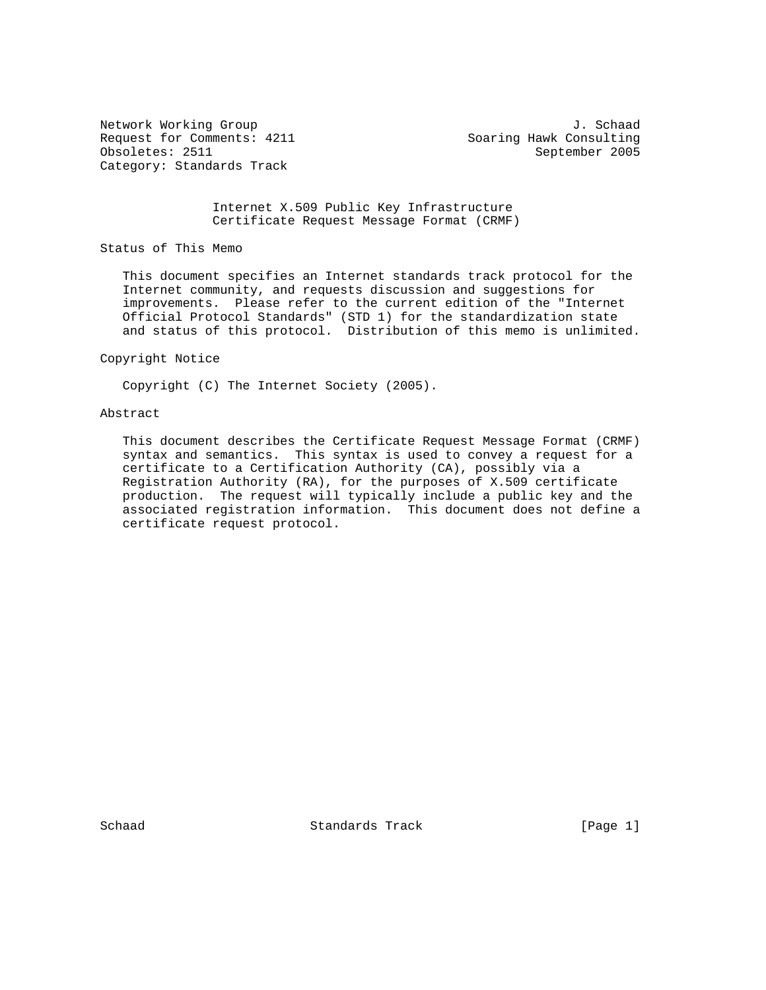Request for Comments: 4211 Soaring Hawk Consulting Obsoletes: 2511 September 2005 Category: Standards Track

Network Working Group J. Schaad

 Internet X.509 Public Key Infrastructure Certificate Request Message Format (CRMF)

Status of This Memo

 This document specifies an Internet standards track protocol for the Internet community, and requests discussion and suggestions for improvements. Please refer to the current edition of the "Internet Official Protocol Standards" (STD 1) for the standardization state and status of this protocol. Distribution of this memo is unlimited.

Copyright Notice

Copyright (C) The Internet Society (2005).

#### Abstract

 This document describes the Certificate Request Message Format (CRMF) syntax and semantics. This syntax is used to convey a request for a certificate to a Certification Authority (CA), possibly via a Registration Authority (RA), for the purposes of X.509 certificate production. The request will typically include a public key and the associated registration information. This document does not define a certificate request protocol.

Schaad Standards Track [Page 1]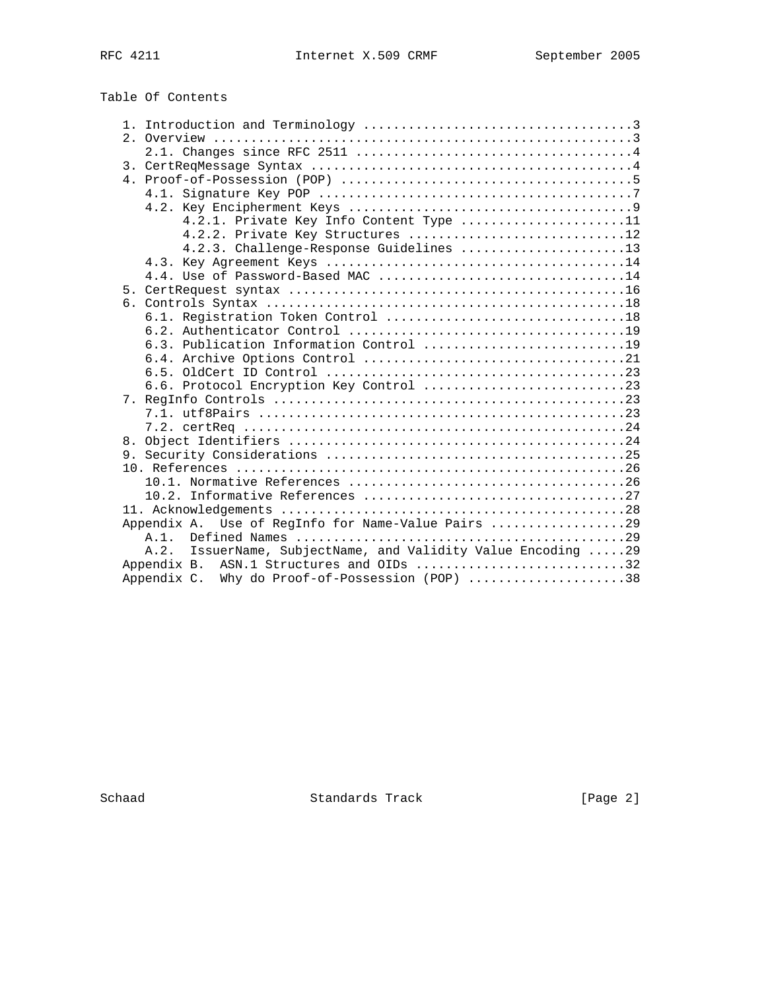# Table Of Contents

|  | 4.2.1. Private Key Info Content Type 11                         |
|--|-----------------------------------------------------------------|
|  | 4.2.2. Private Key Structures 12                                |
|  | 4.2.3. Challenge-Response Guidelines 13                         |
|  |                                                                 |
|  |                                                                 |
|  |                                                                 |
|  |                                                                 |
|  |                                                                 |
|  |                                                                 |
|  | 6.3. Publication Information Control 19                         |
|  |                                                                 |
|  |                                                                 |
|  | 6.6. Protocol Encryption Key Control 23                         |
|  |                                                                 |
|  |                                                                 |
|  |                                                                 |
|  |                                                                 |
|  |                                                                 |
|  |                                                                 |
|  |                                                                 |
|  |                                                                 |
|  |                                                                 |
|  | Appendix A. Use of RegInfo for Name-Value Pairs 29              |
|  | $A.1$ .                                                         |
|  | IssuerName, SubjectName, and Validity Value Encoding 29<br>A.2. |
|  | Appendix B. ASN.1 Structures and OIDs 32                        |
|  | Appendix C. Why do Proof-of-Possession (POP) 38                 |

Schaad Standards Track [Page 2]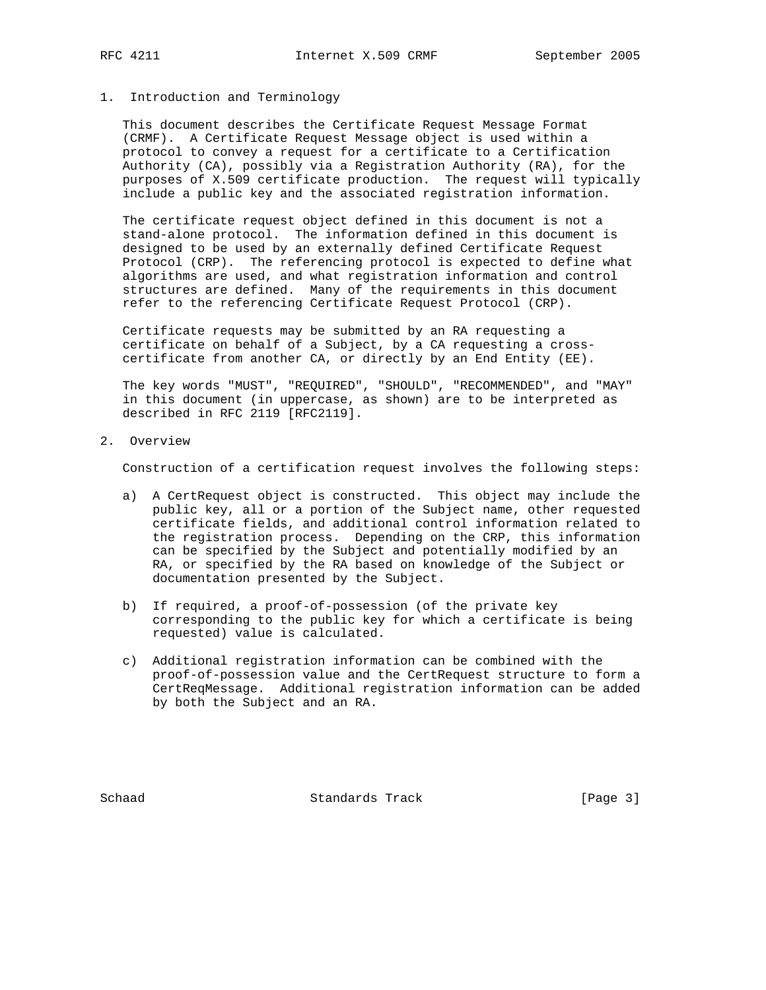## 1. Introduction and Terminology

 This document describes the Certificate Request Message Format (CRMF). A Certificate Request Message object is used within a protocol to convey a request for a certificate to a Certification Authority (CA), possibly via a Registration Authority (RA), for the purposes of X.509 certificate production. The request will typically include a public key and the associated registration information.

 The certificate request object defined in this document is not a stand-alone protocol. The information defined in this document is designed to be used by an externally defined Certificate Request Protocol (CRP). The referencing protocol is expected to define what algorithms are used, and what registration information and control structures are defined. Many of the requirements in this document refer to the referencing Certificate Request Protocol (CRP).

 Certificate requests may be submitted by an RA requesting a certificate on behalf of a Subject, by a CA requesting a cross certificate from another CA, or directly by an End Entity (EE).

 The key words "MUST", "REQUIRED", "SHOULD", "RECOMMENDED", and "MAY" in this document (in uppercase, as shown) are to be interpreted as described in RFC 2119 [RFC2119].

2. Overview

Construction of a certification request involves the following steps:

- a) A CertRequest object is constructed. This object may include the public key, all or a portion of the Subject name, other requested certificate fields, and additional control information related to the registration process. Depending on the CRP, this information can be specified by the Subject and potentially modified by an RA, or specified by the RA based on knowledge of the Subject or documentation presented by the Subject.
- b) If required, a proof-of-possession (of the private key corresponding to the public key for which a certificate is being requested) value is calculated.
- c) Additional registration information can be combined with the proof-of-possession value and the CertRequest structure to form a CertReqMessage. Additional registration information can be added by both the Subject and an RA.

Schaad **Standards Track** [Page 3]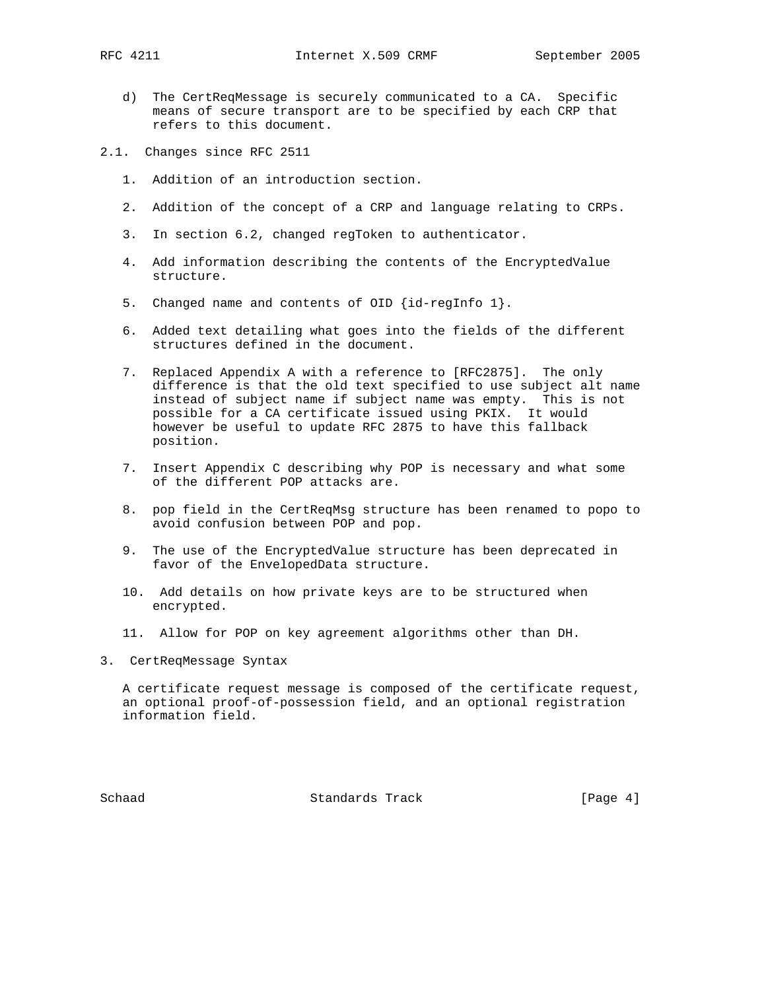- d) The CertReqMessage is securely communicated to a CA. Specific means of secure transport are to be specified by each CRP that refers to this document.
- 2.1. Changes since RFC 2511
	- 1. Addition of an introduction section.
	- 2. Addition of the concept of a CRP and language relating to CRPs.
	- 3. In section 6.2, changed regToken to authenticator.
	- 4. Add information describing the contents of the EncryptedValue structure.
	- 5. Changed name and contents of OID {id-regInfo 1}.
	- 6. Added text detailing what goes into the fields of the different structures defined in the document.
	- 7. Replaced Appendix A with a reference to [RFC2875]. The only difference is that the old text specified to use subject alt name instead of subject name if subject name was empty. This is not possible for a CA certificate issued using PKIX. It would however be useful to update RFC 2875 to have this fallback position.
	- 7. Insert Appendix C describing why POP is necessary and what some of the different POP attacks are.
	- 8. pop field in the CertReqMsg structure has been renamed to popo to avoid confusion between POP and pop.
	- 9. The use of the EncryptedValue structure has been deprecated in favor of the EnvelopedData structure.
	- 10. Add details on how private keys are to be structured when encrypted.
	- 11. Allow for POP on key agreement algorithms other than DH.
- 3. CertReqMessage Syntax

 A certificate request message is composed of the certificate request, an optional proof-of-possession field, and an optional registration information field.

Schaad **Standards Track** [Page 4]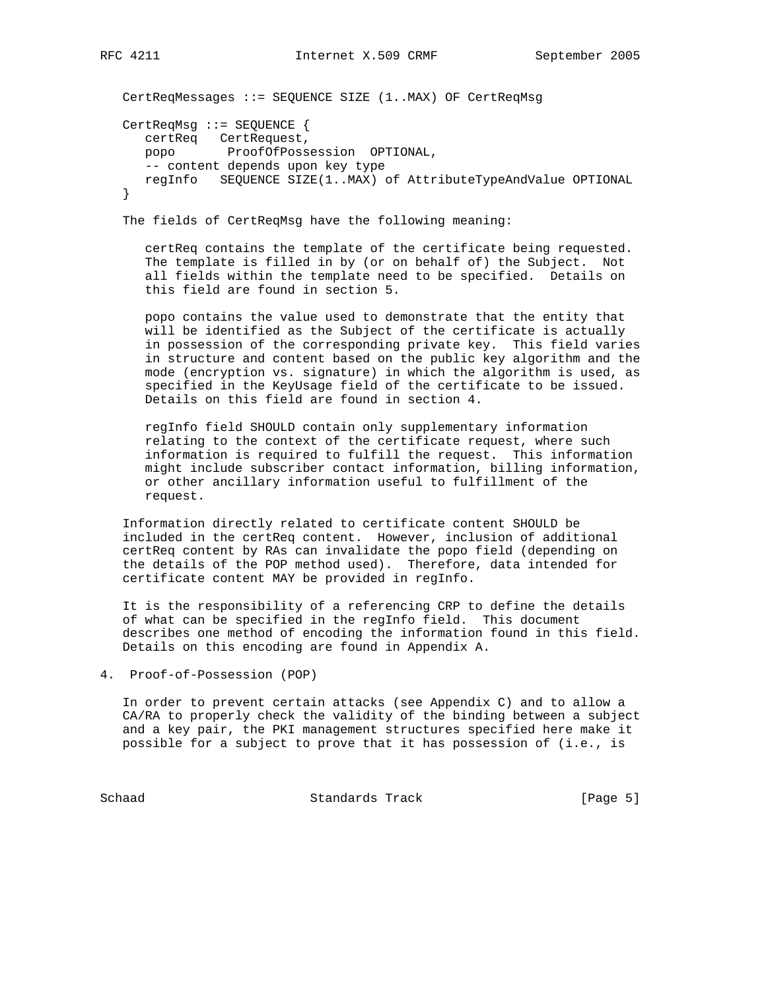CertReqMessages ::= SEQUENCE SIZE (1..MAX) OF CertReqMsg CertReqMsg ::= SEQUENCE { certReq CertRequest, popo ProofOfPossession OPTIONAL, -- content depends upon key type regInfo SEQUENCE SIZE(1..MAX) of AttributeTypeAndValue OPTIONAL }

The fields of CertReqMsg have the following meaning:

 certReq contains the template of the certificate being requested. The template is filled in by (or on behalf of) the Subject. Not all fields within the template need to be specified. Details on this field are found in section 5.

 popo contains the value used to demonstrate that the entity that will be identified as the Subject of the certificate is actually in possession of the corresponding private key. This field varies in structure and content based on the public key algorithm and the mode (encryption vs. signature) in which the algorithm is used, as specified in the KeyUsage field of the certificate to be issued. Details on this field are found in section 4.

 regInfo field SHOULD contain only supplementary information relating to the context of the certificate request, where such information is required to fulfill the request. This information might include subscriber contact information, billing information, or other ancillary information useful to fulfillment of the request.

 Information directly related to certificate content SHOULD be included in the certReq content. However, inclusion of additional certReq content by RAs can invalidate the popo field (depending on the details of the POP method used). Therefore, data intended for certificate content MAY be provided in regInfo.

 It is the responsibility of a referencing CRP to define the details of what can be specified in the regInfo field. This document describes one method of encoding the information found in this field. Details on this encoding are found in Appendix A.

```
4. Proof-of-Possession (POP)
```
 In order to prevent certain attacks (see Appendix C) and to allow a CA/RA to properly check the validity of the binding between a subject and a key pair, the PKI management structures specified here make it possible for a subject to prove that it has possession of (i.e., is

Schaad Standards Track [Page 5]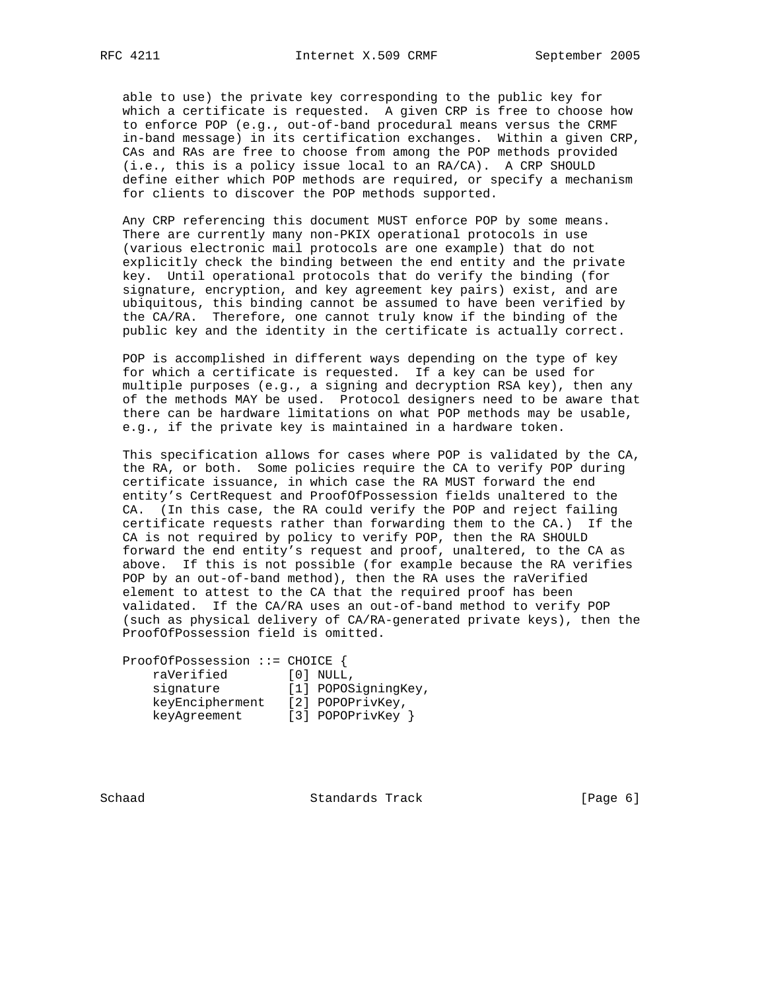able to use) the private key corresponding to the public key for which a certificate is requested. A given CRP is free to choose how to enforce POP (e.g., out-of-band procedural means versus the CRMF in-band message) in its certification exchanges. Within a given CRP, CAs and RAs are free to choose from among the POP methods provided (i.e., this is a policy issue local to an RA/CA). A CRP SHOULD define either which POP methods are required, or specify a mechanism for clients to discover the POP methods supported.

 Any CRP referencing this document MUST enforce POP by some means. There are currently many non-PKIX operational protocols in use (various electronic mail protocols are one example) that do not explicitly check the binding between the end entity and the private key. Until operational protocols that do verify the binding (for signature, encryption, and key agreement key pairs) exist, and are ubiquitous, this binding cannot be assumed to have been verified by the CA/RA. Therefore, one cannot truly know if the binding of the public key and the identity in the certificate is actually correct.

 POP is accomplished in different ways depending on the type of key for which a certificate is requested. If a key can be used for multiple purposes (e.g., a signing and decryption RSA key), then any of the methods MAY be used. Protocol designers need to be aware that there can be hardware limitations on what POP methods may be usable, e.g., if the private key is maintained in a hardware token.

 This specification allows for cases where POP is validated by the CA, the RA, or both. Some policies require the CA to verify POP during certificate issuance, in which case the RA MUST forward the end entity's CertRequest and ProofOfPossession fields unaltered to the CA. (In this case, the RA could verify the POP and reject failing certificate requests rather than forwarding them to the CA.) If the CA is not required by policy to verify POP, then the RA SHOULD forward the end entity's request and proof, unaltered, to the CA as above. If this is not possible (for example because the RA verifies POP by an out-of-band method), then the RA uses the raVerified element to attest to the CA that the required proof has been validated. If the CA/RA uses an out-of-band method to verify POP (such as physical delivery of CA/RA-generated private keys), then the ProofOfPossession field is omitted.

 ProofOfPossession ::= CHOICE { raVerified [0] NULL, signature [1] POPOSigningKey, keyEncipherment [2] POPOPrivKey, keyAgreement [3] POPOPrivKey }

Schaad **Standards Track** [Page 6]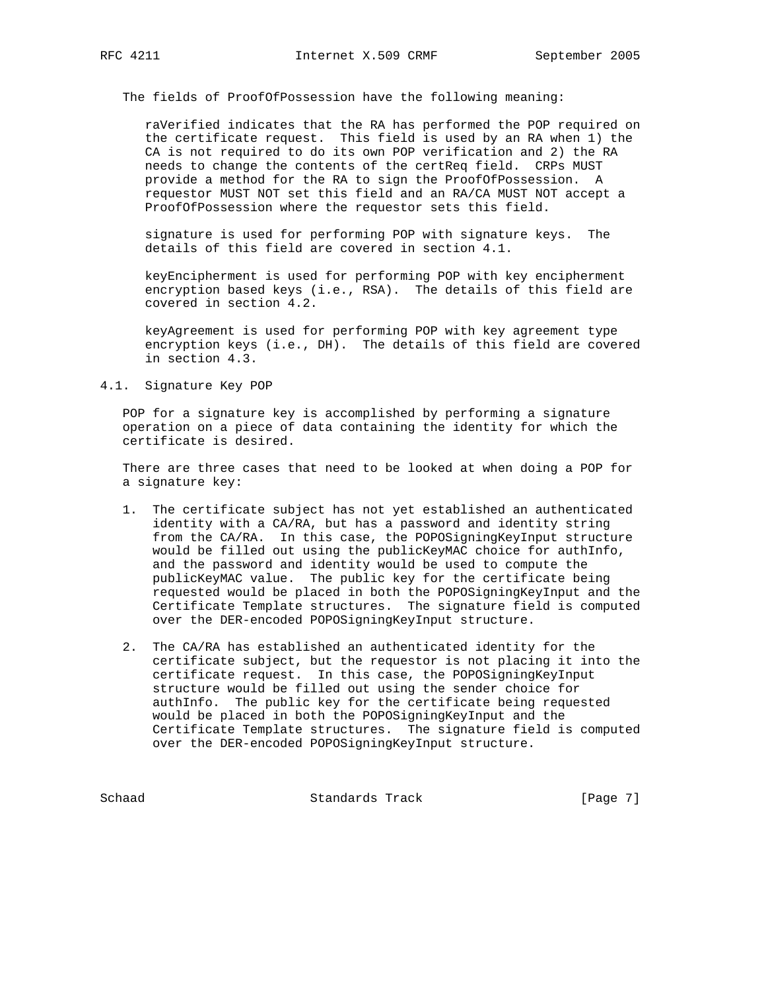The fields of ProofOfPossession have the following meaning:

 raVerified indicates that the RA has performed the POP required on the certificate request. This field is used by an RA when 1) the CA is not required to do its own POP verification and 2) the RA needs to change the contents of the certReq field. CRPs MUST provide a method for the RA to sign the ProofOfPossession. A requestor MUST NOT set this field and an RA/CA MUST NOT accept a ProofOfPossession where the requestor sets this field.

 signature is used for performing POP with signature keys. The details of this field are covered in section 4.1.

 keyEncipherment is used for performing POP with key encipherment encryption based keys (i.e., RSA). The details of this field are covered in section 4.2.

 keyAgreement is used for performing POP with key agreement type encryption keys (i.e., DH). The details of this field are covered in section 4.3.

#### 4.1. Signature Key POP

 POP for a signature key is accomplished by performing a signature operation on a piece of data containing the identity for which the certificate is desired.

 There are three cases that need to be looked at when doing a POP for a signature key:

- 1. The certificate subject has not yet established an authenticated identity with a CA/RA, but has a password and identity string from the CA/RA. In this case, the POPOSigningKeyInput structure would be filled out using the publicKeyMAC choice for authInfo, and the password and identity would be used to compute the publicKeyMAC value. The public key for the certificate being requested would be placed in both the POPOSigningKeyInput and the Certificate Template structures. The signature field is computed over the DER-encoded POPOSigningKeyInput structure.
- 2. The CA/RA has established an authenticated identity for the certificate subject, but the requestor is not placing it into the certificate request. In this case, the POPOSigningKeyInput structure would be filled out using the sender choice for authInfo. The public key for the certificate being requested would be placed in both the POPOSigningKeyInput and the Certificate Template structures. The signature field is computed over the DER-encoded POPOSigningKeyInput structure.

Schaad Standards Track [Page 7]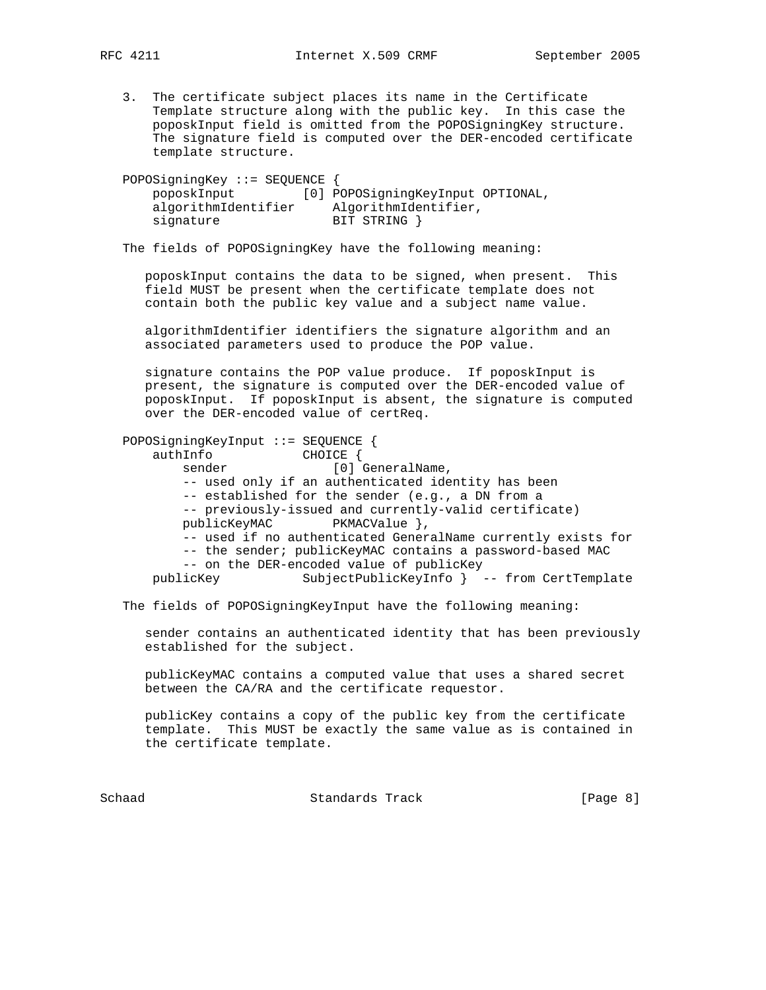3. The certificate subject places its name in the Certificate Template structure along with the public key. In this case the poposkInput field is omitted from the POPOSigningKey structure. The signature field is computed over the DER-encoded certificate template structure.

| POPOSigningKey ::= SEQUENCE $\{$ |                                   |
|----------------------------------|-----------------------------------|
| poposkInput                      | [0] POPOSigningKeyInput OPTIONAL, |
| algorithmIdentifier              | AlgorithmIdentifier,              |
| signature                        | BIT STRING }                      |

The fields of POPOSigningKey have the following meaning:

 poposkInput contains the data to be signed, when present. This field MUST be present when the certificate template does not contain both the public key value and a subject name value.

 algorithmIdentifier identifiers the signature algorithm and an associated parameters used to produce the POP value.

 signature contains the POP value produce. If poposkInput is present, the signature is computed over the DER-encoded value of poposkInput. If poposkInput is absent, the signature is computed over the DER-encoded value of certReq.

 POPOSigningKeyInput ::= SEQUENCE { authInfo CHOICE { sender [0] GeneralName, -- used only if an authenticated identity has been -- established for the sender (e.g., a DN from a -- previously-issued and currently-valid certificate) publicKeyMAC PKMACValue }, -- used if no authenticated GeneralName currently exists for -- the sender; publicKeyMAC contains a password-based MAC -- on the DER-encoded value of publicKey publicKey SubjectPublicKeyInfo } -- from CertTemplate

The fields of POPOSigningKeyInput have the following meaning:

 sender contains an authenticated identity that has been previously established for the subject.

 publicKeyMAC contains a computed value that uses a shared secret between the CA/RA and the certificate requestor.

 publicKey contains a copy of the public key from the certificate template. This MUST be exactly the same value as is contained in the certificate template.

Schaad Standards Track [Page 8]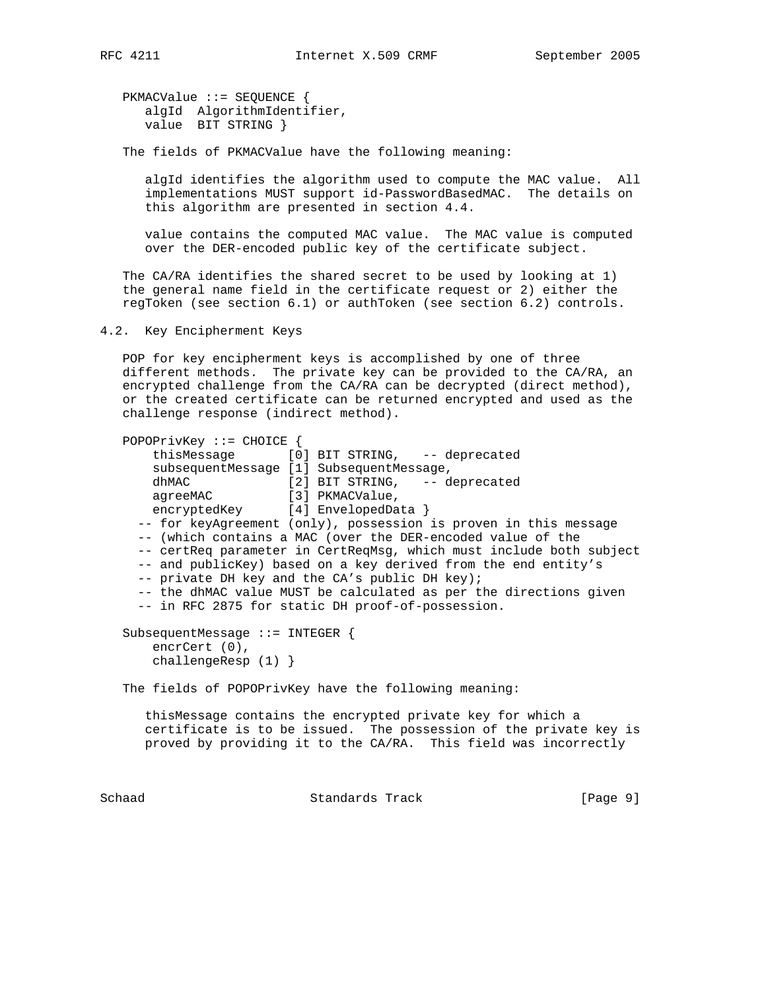PKMACValue ::= SEQUENCE { algId AlgorithmIdentifier, value BIT STRING }

The fields of PKMACValue have the following meaning:

 algId identifies the algorithm used to compute the MAC value. All implementations MUST support id-PasswordBasedMAC. The details on this algorithm are presented in section 4.4.

 value contains the computed MAC value. The MAC value is computed over the DER-encoded public key of the certificate subject.

 The CA/RA identifies the shared secret to be used by looking at 1) the general name field in the certificate request or 2) either the regToken (see section 6.1) or authToken (see section 6.2) controls.

4.2. Key Encipherment Keys

 POP for key encipherment keys is accomplished by one of three different methods. The private key can be provided to the CA/RA, an encrypted challenge from the CA/RA can be decrypted (direct method), or the created certificate can be returned encrypted and used as the challenge response (indirect method).

```
 POPOPrivKey ::= CHOICE {
     thisMessage [0] BIT STRING, -- deprecated
      subsequentMessage [1] SubsequentMessage,
     dhMAC<br>agreeMAC [2] BIT STRING, -- deprecated<br>[3] PKMACValue,
agreeMAC [3] PKMACValue,
encryptedKey [4] EnvelopedData }
    -- for keyAgreement (only), possession is proven in this message
    -- (which contains a MAC (over the DER-encoded value of the
    -- certReq parameter in CertReqMsg, which must include both subject
    -- and publicKey) based on a key derived from the end entity's
    -- private DH key and the CA's public DH key);
    -- the dhMAC value MUST be calculated as per the directions given
    -- in RFC 2875 for static DH proof-of-possession.
  SubsequentMessage ::= INTEGER {
      encrCert (0),
      challengeResp (1) }
  The fields of POPOPrivKey have the following meaning:
     thisMessage contains the encrypted private key for which a
     certificate is to be issued. The possession of the private key is
     proved by providing it to the CA/RA. This field was incorrectly
```
Schaad Standards Track [Page 9]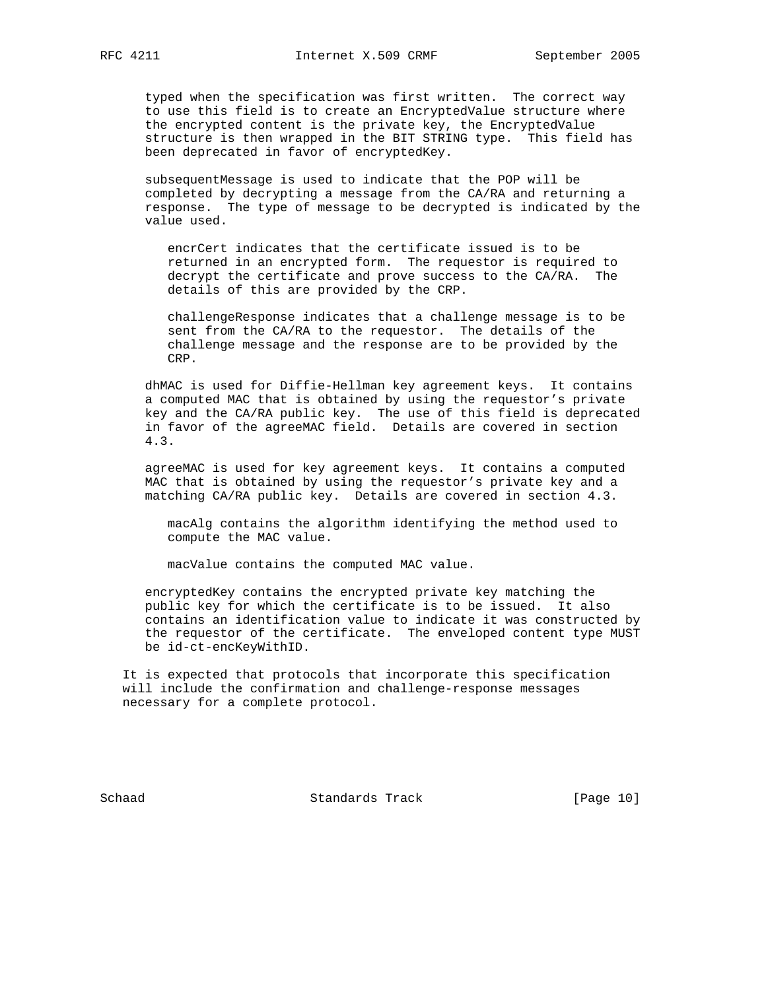typed when the specification was first written. The correct way to use this field is to create an EncryptedValue structure where the encrypted content is the private key, the EncryptedValue structure is then wrapped in the BIT STRING type. This field has been deprecated in favor of encryptedKey.

 subsequentMessage is used to indicate that the POP will be completed by decrypting a message from the CA/RA and returning a response. The type of message to be decrypted is indicated by the value used.

 encrCert indicates that the certificate issued is to be returned in an encrypted form. The requestor is required to decrypt the certificate and prove success to the CA/RA. The details of this are provided by the CRP.

 challengeResponse indicates that a challenge message is to be sent from the CA/RA to the requestor. The details of the challenge message and the response are to be provided by the CRP.

 dhMAC is used for Diffie-Hellman key agreement keys. It contains a computed MAC that is obtained by using the requestor's private key and the CA/RA public key. The use of this field is deprecated in favor of the agreeMAC field. Details are covered in section 4.3.

 agreeMAC is used for key agreement keys. It contains a computed MAC that is obtained by using the requestor's private key and a matching CA/RA public key. Details are covered in section 4.3.

 macAlg contains the algorithm identifying the method used to compute the MAC value.

macValue contains the computed MAC value.

 encryptedKey contains the encrypted private key matching the public key for which the certificate is to be issued. It also contains an identification value to indicate it was constructed by the requestor of the certificate. The enveloped content type MUST be id-ct-encKeyWithID.

 It is expected that protocols that incorporate this specification will include the confirmation and challenge-response messages necessary for a complete protocol.

Schaad Standards Track [Page 10]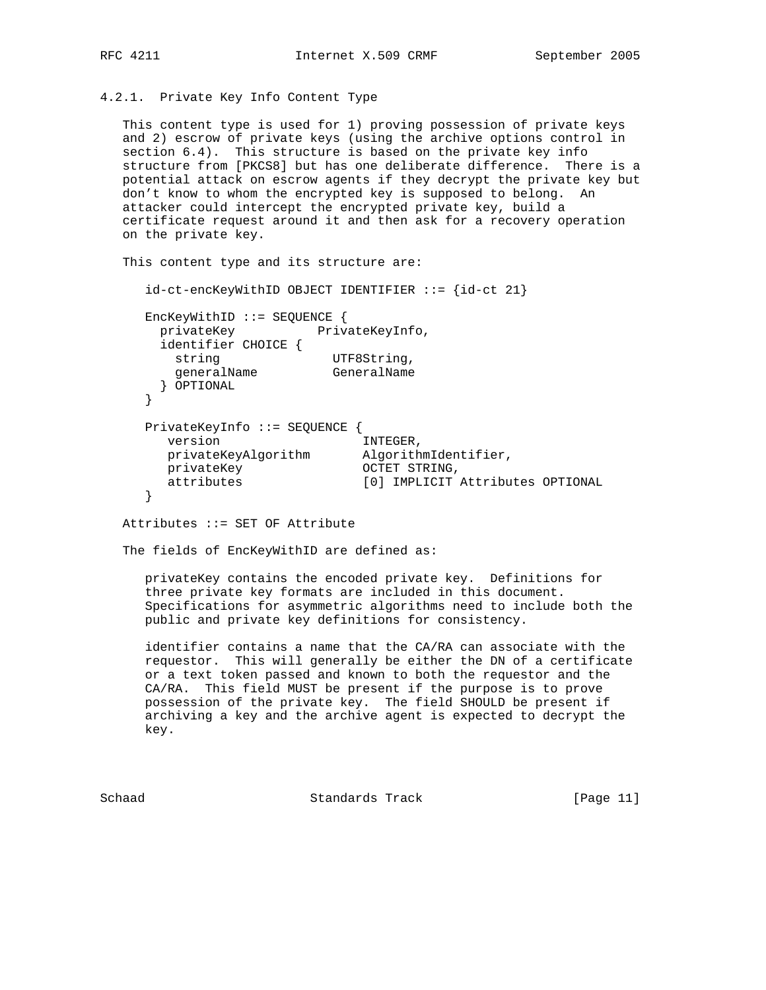## 4.2.1. Private Key Info Content Type

 This content type is used for 1) proving possession of private keys and 2) escrow of private keys (using the archive options control in section 6.4). This structure is based on the private key info structure from [PKCS8] but has one deliberate difference. There is a potential attack on escrow agents if they decrypt the private key but don't know to whom the encrypted key is supposed to belong. An attacker could intercept the encrypted private key, build a certificate request around it and then ask for a recovery operation on the private key.

This content type and its structure are:

id-ct-encKeyWithID OBJECT IDENTIFIER ::= {id-ct 21}

 EncKeyWithID ::= SEQUENCE { privateKey PrivateKeyInfo, identifier CHOICE { string UTF8String, generalName GeneralName } OPTIONAL } PrivateKeyInfo ::= SEQUENCE { version and INTEGER, privateKeyAlgorithm AlgorithmIdentifier, privateKey oCTET STRING, attributes [0] IMPLICIT Attributes OPTIONAL }

Attributes ::= SET OF Attribute

The fields of EncKeyWithID are defined as:

 privateKey contains the encoded private key. Definitions for three private key formats are included in this document. Specifications for asymmetric algorithms need to include both the public and private key definitions for consistency.

 identifier contains a name that the CA/RA can associate with the requestor. This will generally be either the DN of a certificate or a text token passed and known to both the requestor and the CA/RA. This field MUST be present if the purpose is to prove possession of the private key. The field SHOULD be present if archiving a key and the archive agent is expected to decrypt the key.

Schaad Standards Track [Page 11]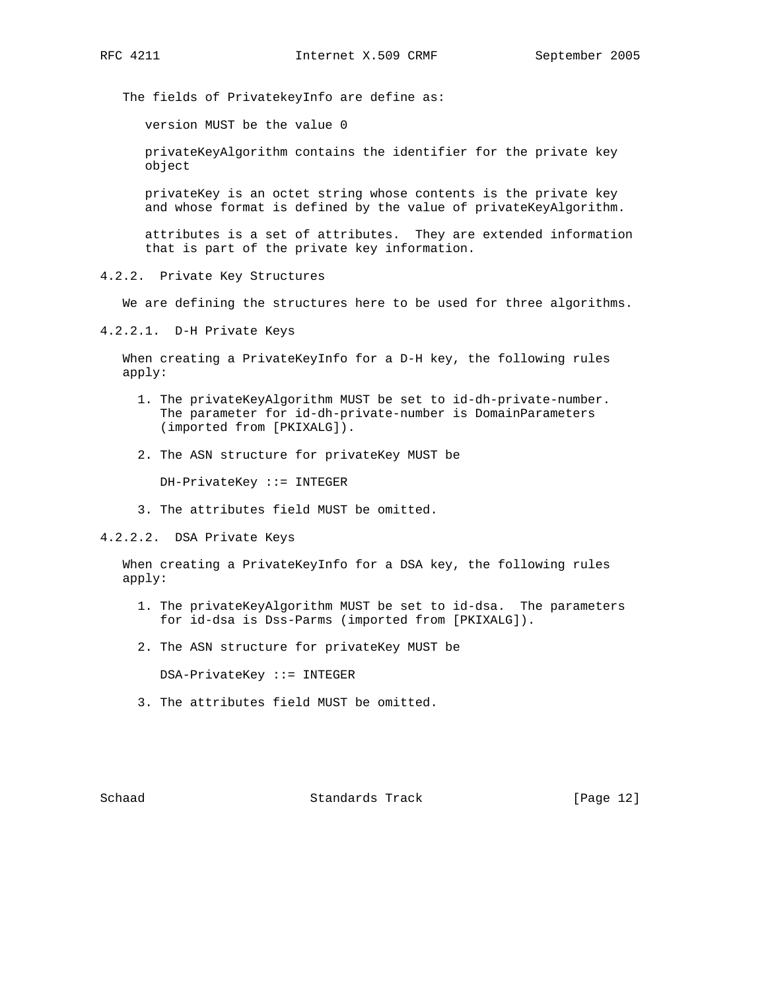The fields of PrivatekeyInfo are define as:

version MUST be the value 0

 privateKeyAlgorithm contains the identifier for the private key object

 privateKey is an octet string whose contents is the private key and whose format is defined by the value of privateKeyAlgorithm.

 attributes is a set of attributes. They are extended information that is part of the private key information.

4.2.2. Private Key Structures

We are defining the structures here to be used for three algorithms.

4.2.2.1. D-H Private Keys

 When creating a PrivateKeyInfo for a D-H key, the following rules apply:

- 1. The privateKeyAlgorithm MUST be set to id-dh-private-number. The parameter for id-dh-private-number is DomainParameters (imported from [PKIXALG]).
- 2. The ASN structure for privateKey MUST be

DH-PrivateKey ::= INTEGER

3. The attributes field MUST be omitted.

4.2.2.2. DSA Private Keys

 When creating a PrivateKeyInfo for a DSA key, the following rules apply:

- 1. The privateKeyAlgorithm MUST be set to id-dsa. The parameters for id-dsa is Dss-Parms (imported from [PKIXALG]).
- 2. The ASN structure for privateKey MUST be

DSA-PrivateKey ::= INTEGER

3. The attributes field MUST be omitted.

Schaad Standards Track [Page 12]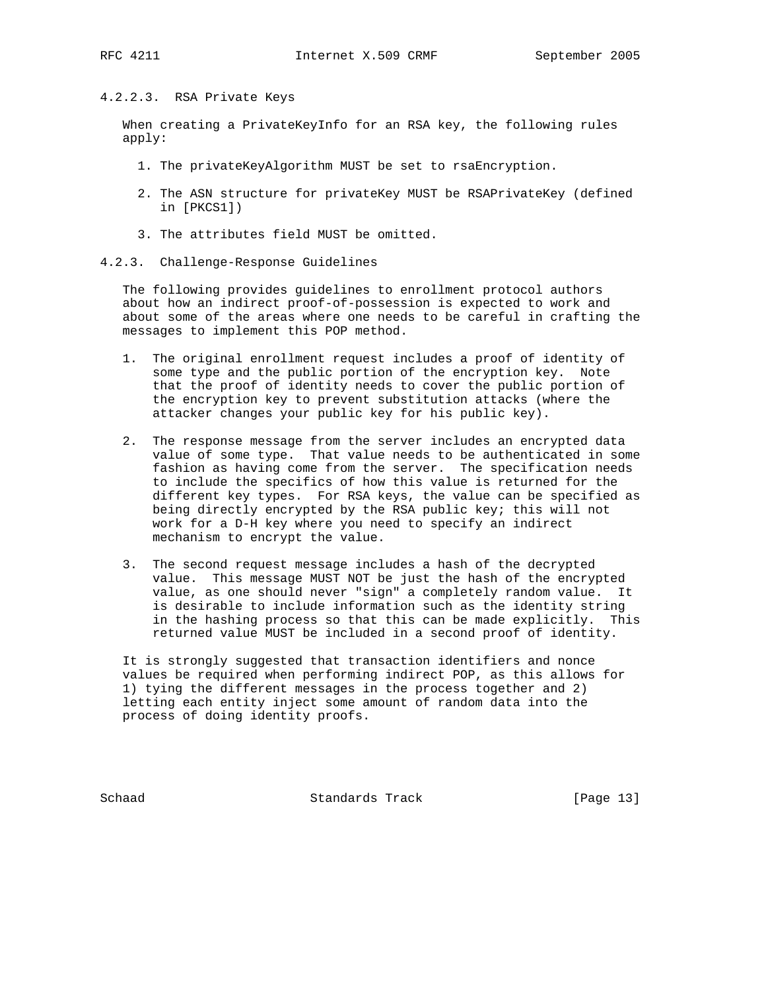### 4.2.2.3. RSA Private Keys

 When creating a PrivateKeyInfo for an RSA key, the following rules apply:

- 1. The privateKeyAlgorithm MUST be set to rsaEncryption.
- 2. The ASN structure for privateKey MUST be RSAPrivateKey (defined in [PKCS1])
- 3. The attributes field MUST be omitted.
- 4.2.3. Challenge-Response Guidelines

 The following provides guidelines to enrollment protocol authors about how an indirect proof-of-possession is expected to work and about some of the areas where one needs to be careful in crafting the messages to implement this POP method.

- 1. The original enrollment request includes a proof of identity of some type and the public portion of the encryption key. Note that the proof of identity needs to cover the public portion of the encryption key to prevent substitution attacks (where the attacker changes your public key for his public key).
- 2. The response message from the server includes an encrypted data value of some type. That value needs to be authenticated in some fashion as having come from the server. The specification needs to include the specifics of how this value is returned for the different key types. For RSA keys, the value can be specified as being directly encrypted by the RSA public key; this will not work for a D-H key where you need to specify an indirect mechanism to encrypt the value.
- 3. The second request message includes a hash of the decrypted value. This message MUST NOT be just the hash of the encrypted value, as one should never "sign" a completely random value. It is desirable to include information such as the identity string in the hashing process so that this can be made explicitly. This returned value MUST be included in a second proof of identity.

 It is strongly suggested that transaction identifiers and nonce values be required when performing indirect POP, as this allows for 1) tying the different messages in the process together and 2) letting each entity inject some amount of random data into the process of doing identity proofs.

Schaad Standards Track [Page 13]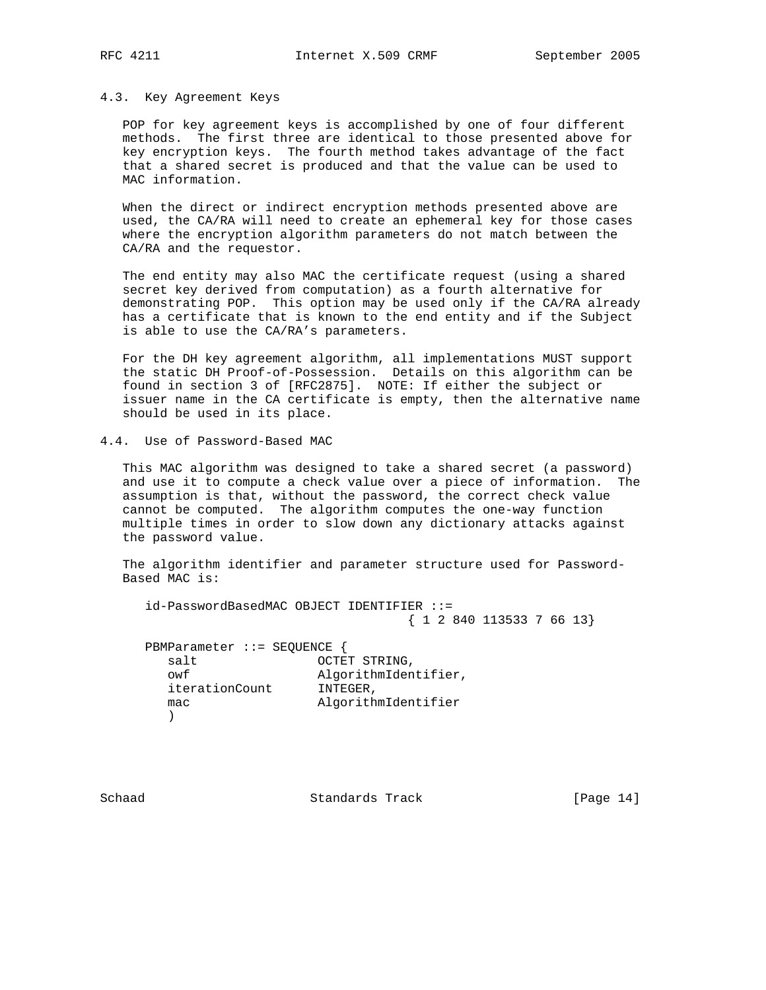#### 4.3. Key Agreement Keys

 POP for key agreement keys is accomplished by one of four different methods. The first three are identical to those presented above for key encryption keys. The fourth method takes advantage of the fact that a shared secret is produced and that the value can be used to MAC information.

 When the direct or indirect encryption methods presented above are used, the CA/RA will need to create an ephemeral key for those cases where the encryption algorithm parameters do not match between the CA/RA and the requestor.

 The end entity may also MAC the certificate request (using a shared secret key derived from computation) as a fourth alternative for demonstrating POP. This option may be used only if the CA/RA already has a certificate that is known to the end entity and if the Subject is able to use the CA/RA's parameters.

 For the DH key agreement algorithm, all implementations MUST support the static DH Proof-of-Possession. Details on this algorithm can be found in section 3 of [RFC2875]. NOTE: If either the subject or issuer name in the CA certificate is empty, then the alternative name should be used in its place.

4.4. Use of Password-Based MAC

 This MAC algorithm was designed to take a shared secret (a password) and use it to compute a check value over a piece of information. The assumption is that, without the password, the correct check value cannot be computed. The algorithm computes the one-way function multiple times in order to slow down any dictionary attacks against the password value.

 The algorithm identifier and parameter structure used for Password- Based MAC is:

 id-PasswordBasedMAC OBJECT IDENTIFIER ::= { 1 2 840 113533 7 66 13}

 PBMParameter ::= SEQUENCE { salt **OCTET STRING**, owf algorithmIdentifier, iterationCount INTEGER, mac algorithmIdentifier  $)$ 

Schaad Standards Track [Page 14]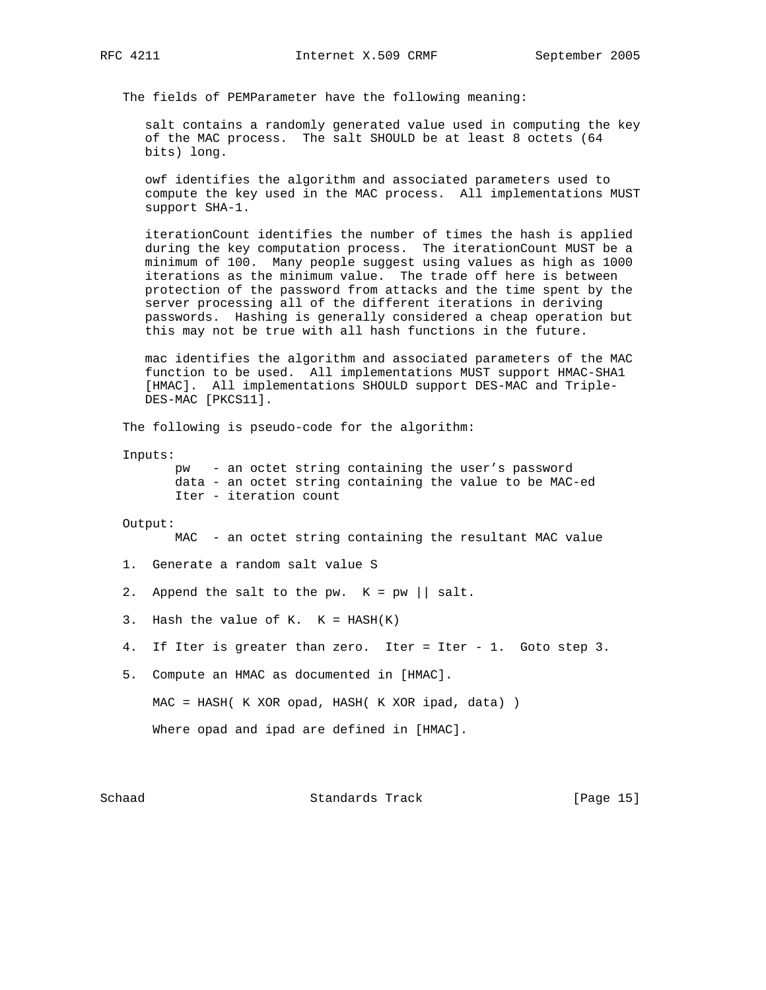The fields of PEMParameter have the following meaning:

 salt contains a randomly generated value used in computing the key of the MAC process. The salt SHOULD be at least 8 octets (64 bits) long.

 owf identifies the algorithm and associated parameters used to compute the key used in the MAC process. All implementations MUST support SHA-1.

 iterationCount identifies the number of times the hash is applied during the key computation process. The iterationCount MUST be a minimum of 100. Many people suggest using values as high as 1000 iterations as the minimum value. The trade off here is between protection of the password from attacks and the time spent by the server processing all of the different iterations in deriving passwords. Hashing is generally considered a cheap operation but this may not be true with all hash functions in the future.

 mac identifies the algorithm and associated parameters of the MAC function to be used. All implementations MUST support HMAC-SHA1 [HMAC]. All implementations SHOULD support DES-MAC and Triple- DES-MAC [PKCS11].

The following is pseudo-code for the algorithm:

Inputs:

 pw - an octet string containing the user's password data - an octet string containing the value to be MAC-ed Iter - iteration count

```
 Output:
```
MAC - an octet string containing the resultant MAC value

- 1. Generate a random salt value S
- 2. Append the salt to the pw.  $K = pw \mid | salt.$
- 3. Hash the value of K.  $K = HASH(K)$
- 4. If Iter is greater than zero. Iter = Iter 1. Goto step 3.
- 5. Compute an HMAC as documented in [HMAC].

MAC = HASH( K XOR opad, HASH( K XOR ipad, data) )

Where opad and ipad are defined in [HMAC].

Schaad Standards Track [Page 15]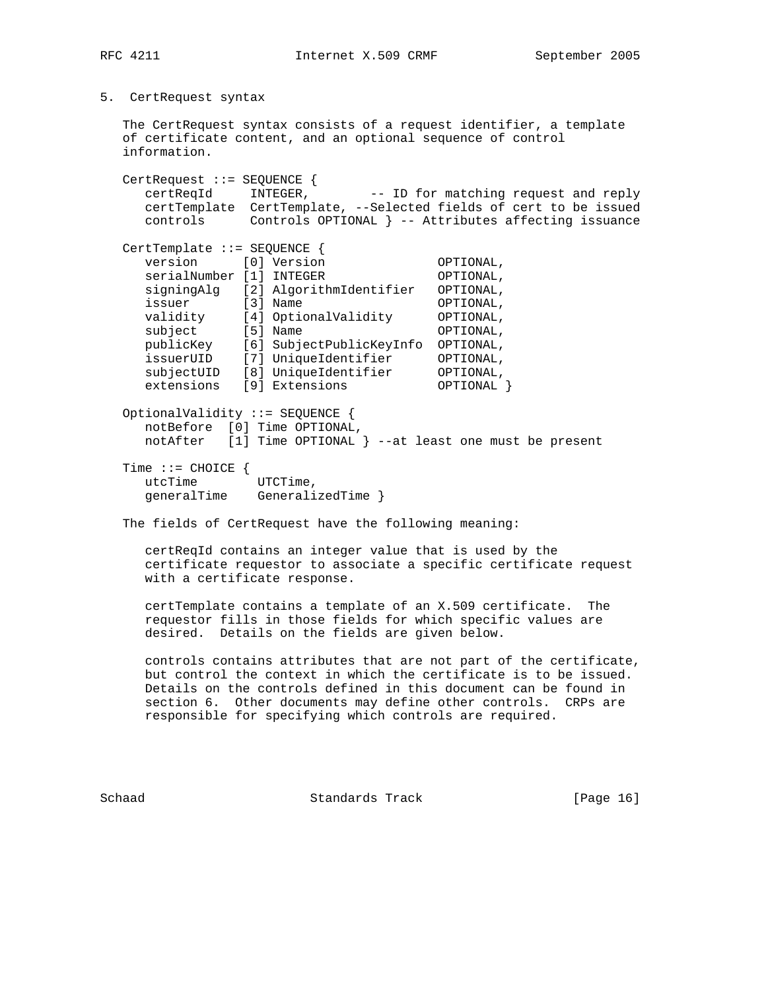5. CertRequest syntax

 The CertRequest syntax consists of a request identifier, a template of certificate content, and an optional sequence of control information.

 CertRequest ::= SEQUENCE { certReqId INTEGER, -- ID for matching request and reply certTemplate CertTemplate, --Selected fields of cert to be issued controls Controls OPTIONAL } -- Attributes affecting issuance CertTemplate ::= SEQUENCE {<br>version [0] Version version [0] Version OPTIONAL,<br>serialNumber [1] INTEGER OPTIONAL. serialNumber [1] INTEGER OPTIONAL, signingAlg [2] AlgorithmIdentifier OPTIONAL, issuer [3] Name **OPTIONAL**, validity [4] OptionalValidity OPTIONAL, subject [5] Name **OPTIONAL**, publicKey [6] SubjectPublicKeyInfo OPTIONAL, issuerUID [7] UniqueIdentifier OPTIONAL, subjectUID [8] UniqueIdentifier OPTIONAL, extensions [9] Extensions 0PTIONAL } OptionalValidity ::= SEQUENCE { notBefore [0] Time OPTIONAL, notAfter [1] Time OPTIONAL } --at least one must be present Time  $::=$  CHOICE  $\{$  utcTime UTCTime, generalTime GeneralizedTime }

The fields of CertRequest have the following meaning:

 certReqId contains an integer value that is used by the certificate requestor to associate a specific certificate request with a certificate response.

 certTemplate contains a template of an X.509 certificate. The requestor fills in those fields for which specific values are desired. Details on the fields are given below.

 controls contains attributes that are not part of the certificate, but control the context in which the certificate is to be issued. Details on the controls defined in this document can be found in section 6. Other documents may define other controls. CRPs are responsible for specifying which controls are required.

Schaad Standards Track [Page 16]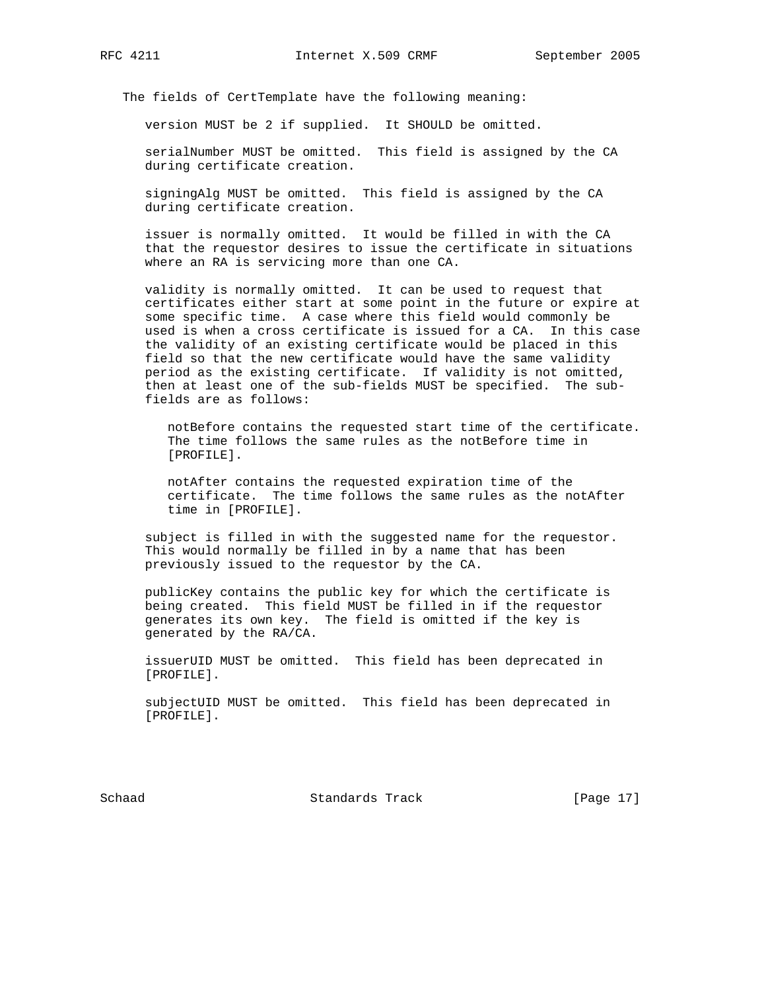The fields of CertTemplate have the following meaning:

version MUST be 2 if supplied. It SHOULD be omitted.

 serialNumber MUST be omitted. This field is assigned by the CA during certificate creation.

 signingAlg MUST be omitted. This field is assigned by the CA during certificate creation.

 issuer is normally omitted. It would be filled in with the CA that the requestor desires to issue the certificate in situations where an RA is servicing more than one CA.

 validity is normally omitted. It can be used to request that certificates either start at some point in the future or expire at some specific time. A case where this field would commonly be used is when a cross certificate is issued for a CA. In this case the validity of an existing certificate would be placed in this field so that the new certificate would have the same validity period as the existing certificate. If validity is not omitted, then at least one of the sub-fields MUST be specified. The sub fields are as follows:

 notBefore contains the requested start time of the certificate. The time follows the same rules as the notBefore time in [PROFILE].

 notAfter contains the requested expiration time of the certificate. The time follows the same rules as the notAfter time in [PROFILE].

 subject is filled in with the suggested name for the requestor. This would normally be filled in by a name that has been previously issued to the requestor by the CA.

 publicKey contains the public key for which the certificate is being created. This field MUST be filled in if the requestor generates its own key. The field is omitted if the key is generated by the RA/CA.

 issuerUID MUST be omitted. This field has been deprecated in [PROFILE].

 subjectUID MUST be omitted. This field has been deprecated in [PROFILE].

Schaad Standards Track [Page 17]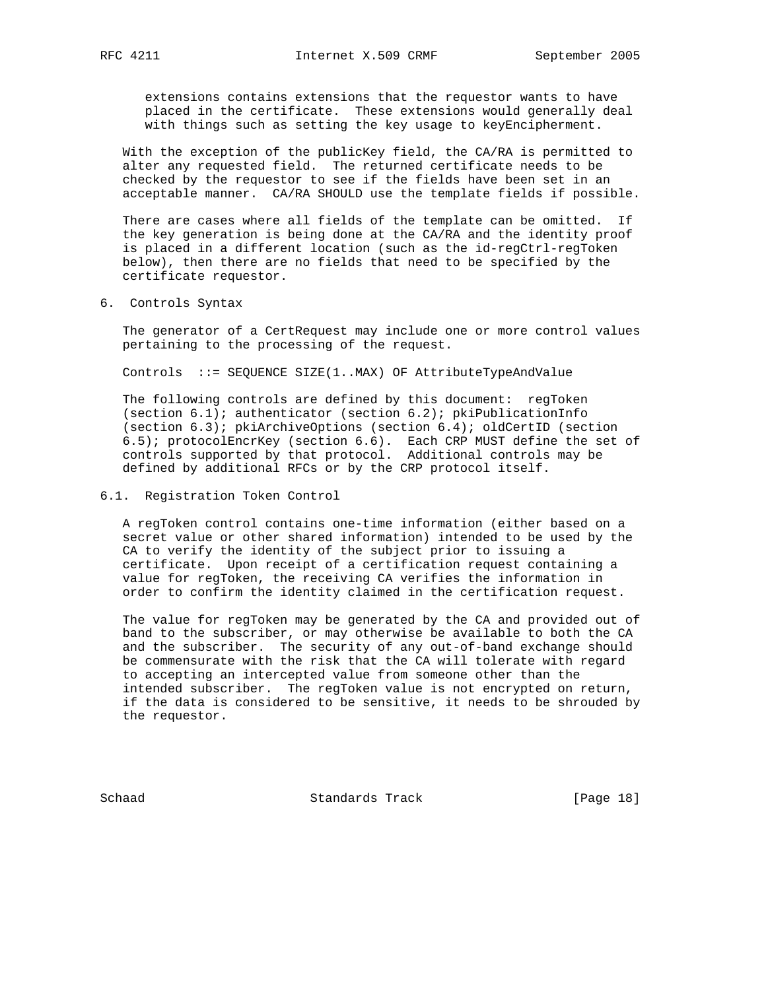extensions contains extensions that the requestor wants to have placed in the certificate. These extensions would generally deal with things such as setting the key usage to keyEncipherment.

 With the exception of the publicKey field, the CA/RA is permitted to alter any requested field. The returned certificate needs to be checked by the requestor to see if the fields have been set in an acceptable manner. CA/RA SHOULD use the template fields if possible.

There are cases where all fields of the template can be omitted. If the key generation is being done at the CA/RA and the identity proof is placed in a different location (such as the id-regCtrl-regToken below), then there are no fields that need to be specified by the certificate requestor.

6. Controls Syntax

 The generator of a CertRequest may include one or more control values pertaining to the processing of the request.

Controls ::= SEQUENCE SIZE(1..MAX) OF AttributeTypeAndValue

 The following controls are defined by this document: regToken (section  $6.1$ ); authenticator (section  $6.2$ ); pkiPublicationInfo (section 6.3); pkiArchiveOptions (section 6.4); oldCertID (section 6.5); protocolEncrKey (section 6.6). Each CRP MUST define the set of controls supported by that protocol. Additional controls may be defined by additional RFCs or by the CRP protocol itself.

#### 6.1. Registration Token Control

 A regToken control contains one-time information (either based on a secret value or other shared information) intended to be used by the CA to verify the identity of the subject prior to issuing a certificate. Upon receipt of a certification request containing a value for regToken, the receiving CA verifies the information in order to confirm the identity claimed in the certification request.

 The value for regToken may be generated by the CA and provided out of band to the subscriber, or may otherwise be available to both the CA and the subscriber. The security of any out-of-band exchange should be commensurate with the risk that the CA will tolerate with regard to accepting an intercepted value from someone other than the intended subscriber. The regToken value is not encrypted on return, if the data is considered to be sensitive, it needs to be shrouded by the requestor.

Schaad Standards Track [Page 18]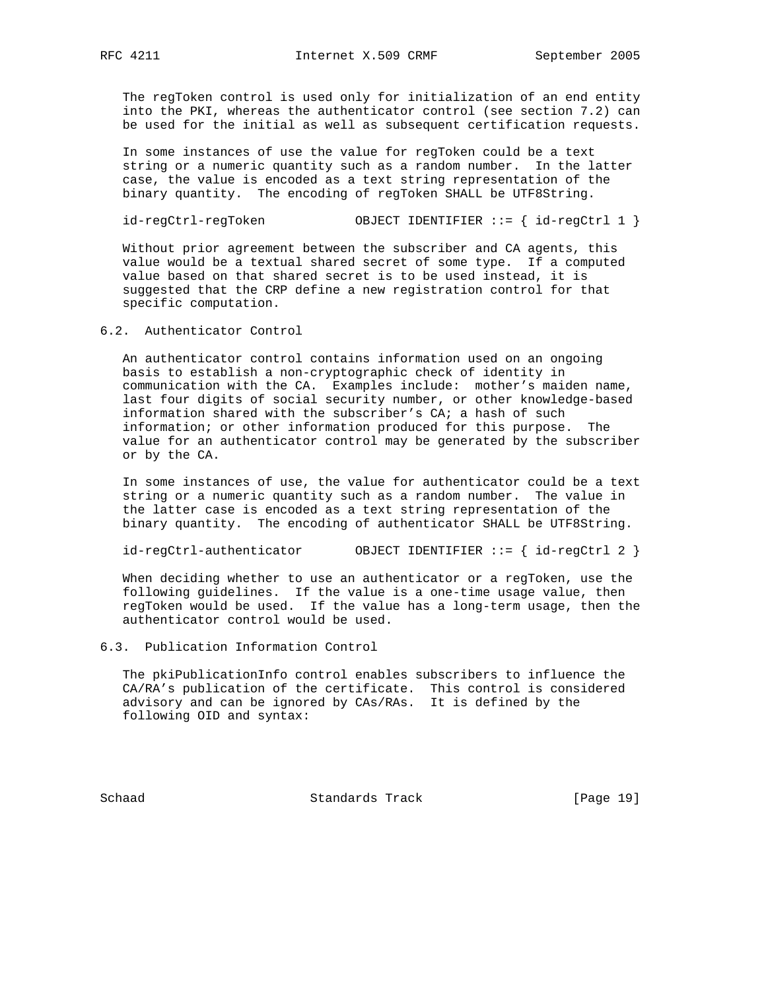The regToken control is used only for initialization of an end entity into the PKI, whereas the authenticator control (see section 7.2) can be used for the initial as well as subsequent certification requests.

 In some instances of use the value for regToken could be a text string or a numeric quantity such as a random number. In the latter case, the value is encoded as a text string representation of the binary quantity. The encoding of regToken SHALL be UTF8String.

```
 id-regCtrl-regToken OBJECT IDENTIFIER ::= { id-regCtrl 1 }
```
 Without prior agreement between the subscriber and CA agents, this value would be a textual shared secret of some type. If a computed value based on that shared secret is to be used instead, it is suggested that the CRP define a new registration control for that specific computation.

#### 6.2. Authenticator Control

 An authenticator control contains information used on an ongoing basis to establish a non-cryptographic check of identity in communication with the CA. Examples include: mother's maiden name, last four digits of social security number, or other knowledge-based information shared with the subscriber's CA; a hash of such information; or other information produced for this purpose. The value for an authenticator control may be generated by the subscriber or by the CA.

 In some instances of use, the value for authenticator could be a text string or a numeric quantity such as a random number. The value in the latter case is encoded as a text string representation of the binary quantity. The encoding of authenticator SHALL be UTF8String.

id-regCtrl-authenticator OBJECT IDENTIFIER ::= { id-regCtrl 2 }

 When deciding whether to use an authenticator or a regToken, use the following guidelines. If the value is a one-time usage value, then regToken would be used. If the value has a long-term usage, then the authenticator control would be used.

#### 6.3. Publication Information Control

 The pkiPublicationInfo control enables subscribers to influence the CA/RA's publication of the certificate. This control is considered advisory and can be ignored by CAs/RAs. It is defined by the following OID and syntax:

Schaad Standards Track [Page 19]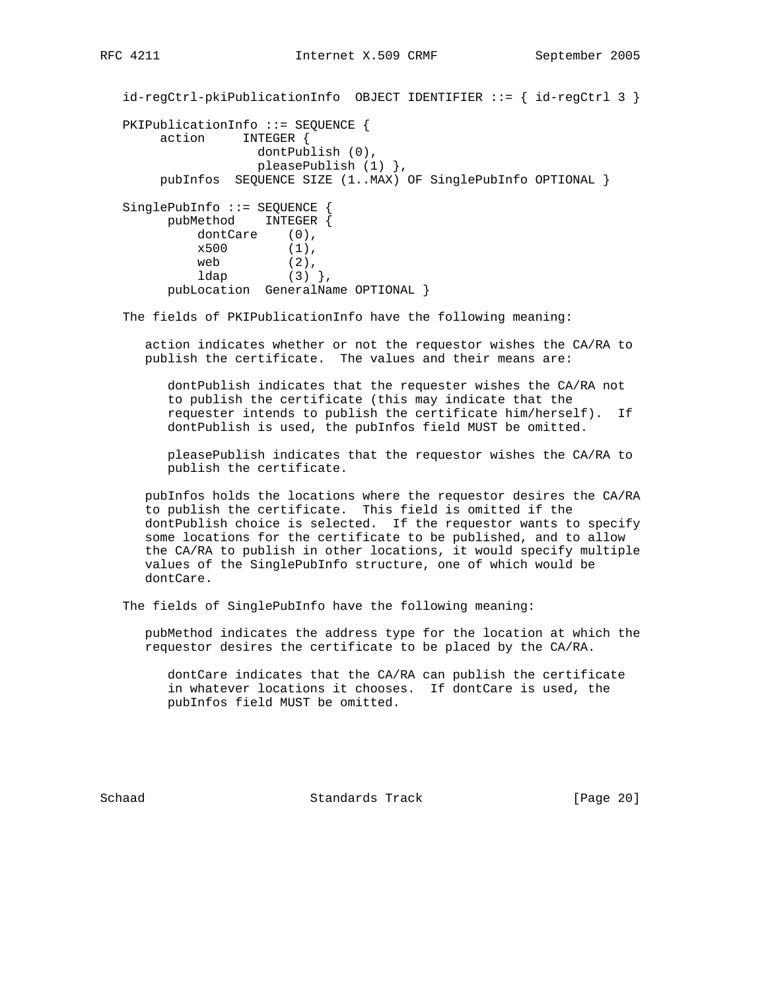id-regCtrl-pkiPublicationInfo OBJECT IDENTIFIER ::= { id-regCtrl 3 } PKIPublicationInfo ::= SEQUENCE { action INTEGER { dontPublish (0), pleasePublish (1) }, pubInfos SEQUENCE SIZE (1..MAX) OF SinglePubInfo OPTIONAL } SinglePubInfo ::= SEQUENCE { pubMethod INTEGER { dontCare (0),  $x500$  (1), web  $(2)$ ,<br> $1$ dap  $(3)$ ,  $1$ dap pubLocation GeneralName OPTIONAL }

The fields of PKIPublicationInfo have the following meaning:

 action indicates whether or not the requestor wishes the CA/RA to publish the certificate. The values and their means are:

 dontPublish indicates that the requester wishes the CA/RA not to publish the certificate (this may indicate that the requester intends to publish the certificate him/herself). If dontPublish is used, the pubInfos field MUST be omitted.

 pleasePublish indicates that the requestor wishes the CA/RA to publish the certificate.

 pubInfos holds the locations where the requestor desires the CA/RA to publish the certificate. This field is omitted if the dontPublish choice is selected. If the requestor wants to specify some locations for the certificate to be published, and to allow the CA/RA to publish in other locations, it would specify multiple values of the SinglePubInfo structure, one of which would be dontCare.

The fields of SinglePubInfo have the following meaning:

 pubMethod indicates the address type for the location at which the requestor desires the certificate to be placed by the CA/RA.

 dontCare indicates that the CA/RA can publish the certificate in whatever locations it chooses. If dontCare is used, the pubInfos field MUST be omitted.

Schaad **Standards Track** [Page 20]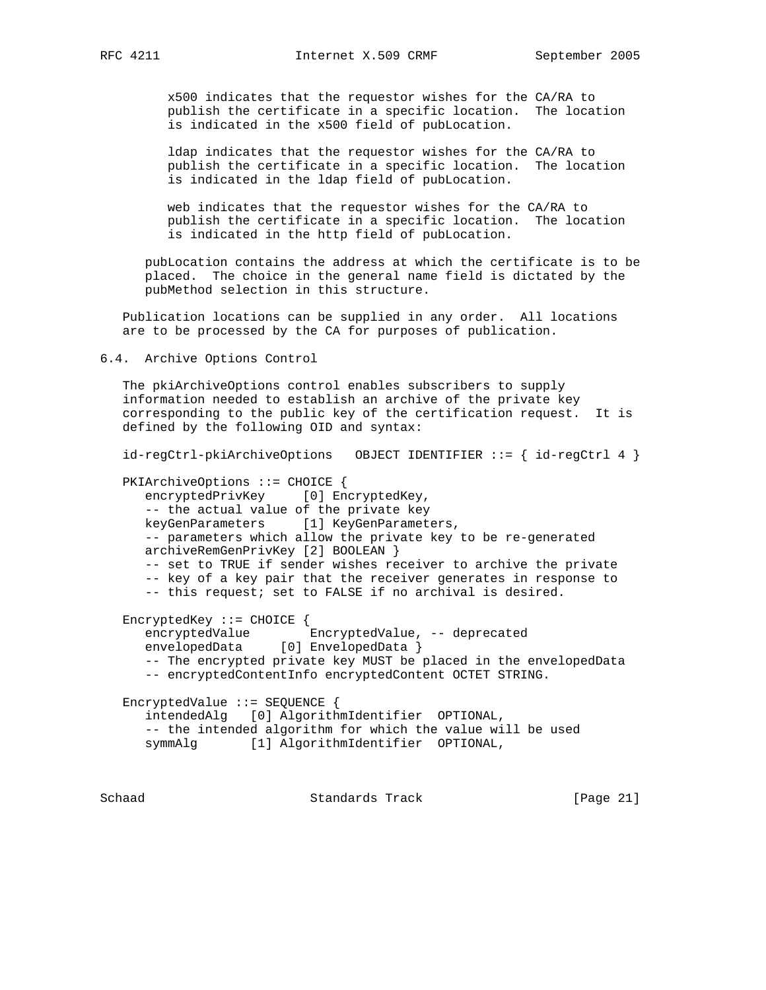x500 indicates that the requestor wishes for the CA/RA to publish the certificate in a specific location. The location is indicated in the x500 field of pubLocation.

 ldap indicates that the requestor wishes for the CA/RA to publish the certificate in a specific location. The location is indicated in the ldap field of pubLocation.

 web indicates that the requestor wishes for the CA/RA to publish the certificate in a specific location. The location is indicated in the http field of pubLocation.

 pubLocation contains the address at which the certificate is to be placed. The choice in the general name field is dictated by the pubMethod selection in this structure.

 Publication locations can be supplied in any order. All locations are to be processed by the CA for purposes of publication.

6.4. Archive Options Control

 The pkiArchiveOptions control enables subscribers to supply information needed to establish an archive of the private key corresponding to the public key of the certification request. It is defined by the following OID and syntax:

```
 id-regCtrl-pkiArchiveOptions OBJECT IDENTIFIER ::= { id-regCtrl 4 }
```

```
 PKIArchiveOptions ::= CHOICE {
 encryptedPrivKey [0] EncryptedKey,
  -- the actual value of the private key
  keyGenParameters [1] KeyGenParameters,
  -- parameters which allow the private key to be re-generated
  archiveRemGenPrivKey [2] BOOLEAN }
  -- set to TRUE if sender wishes receiver to archive the private
   -- key of a key pair that the receiver generates in response to
   -- this request; set to FALSE if no archival is desired.
EncryptedKey ::= CHOICE {
  encryptedValue EncryptedValue, -- deprecated
 envelopedData [0] EnvelopedData }
   -- The encrypted private key MUST be placed in the envelopedData
   -- encryptedContentInfo encryptedContent OCTET STRING.
EncryptedValue ::= SEQUENCE {
   intendedAlg [0] AlgorithmIdentifier OPTIONAL,
   -- the intended algorithm for which the value will be used
 symmAlg [1] AlgorithmIdentifier OPTIONAL,
```
Schaad Standards Track [Page 21]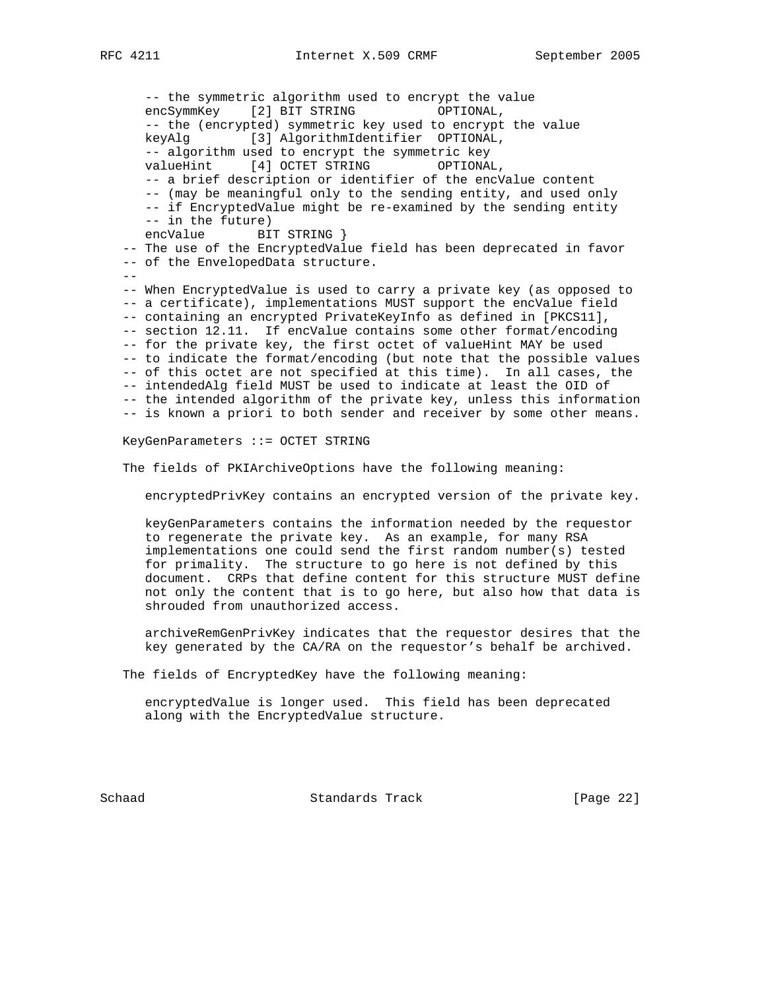-- the symmetric algorithm used to encrypt the value encSymmKey [2] BIT STRING OPTIONAL, -- the (encrypted) symmetric key used to encrypt the value keyAlg [3] AlgorithmIdentifier OPTIONAL, -- algorithm used to encrypt the symmetric key valueHint [4] OCTET STRING OPTIONAL, -- a brief description or identifier of the encValue content -- (may be meaningful only to the sending entity, and used only -- if EncryptedValue might be re-examined by the sending entity -- in the future) encValue BIT STRING } -- The use of the EncryptedValue field has been deprecated in favor -- of the EnvelopedData structure. -- -- When EncryptedValue is used to carry a private key (as opposed to -- a certificate), implementations MUST support the encValue field -- containing an encrypted PrivateKeyInfo as defined in [PKCS11], -- section 12.11. If encValue contains some other format/encoding -- for the private key, the first octet of valueHint MAY be used -- to indicate the format/encoding (but note that the possible values -- of this octet are not specified at this time). In all cases, the -- intendedAlg field MUST be used to indicate at least the OID of -- the intended algorithm of the private key, unless this information -- is known a priori to both sender and receiver by some other means.

KeyGenParameters ::= OCTET STRING

The fields of PKIArchiveOptions have the following meaning:

encryptedPrivKey contains an encrypted version of the private key.

 keyGenParameters contains the information needed by the requestor to regenerate the private key. As an example, for many RSA implementations one could send the first random number(s) tested for primality. The structure to go here is not defined by this document. CRPs that define content for this structure MUST define not only the content that is to go here, but also how that data is shrouded from unauthorized access.

 archiveRemGenPrivKey indicates that the requestor desires that the key generated by the CA/RA on the requestor's behalf be archived.

The fields of EncryptedKey have the following meaning:

 encryptedValue is longer used. This field has been deprecated along with the EncryptedValue structure.

Schaad Standards Track [Page 22]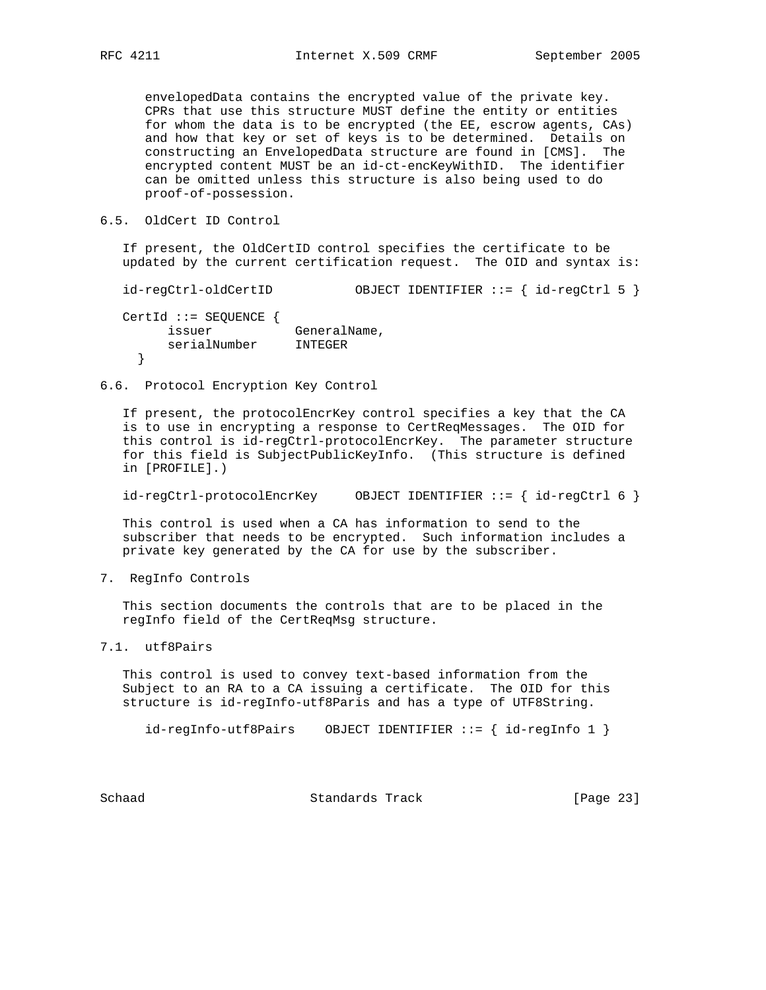envelopedData contains the encrypted value of the private key. CPRs that use this structure MUST define the entity or entities for whom the data is to be encrypted (the EE, escrow agents, CAs) and how that key or set of keys is to be determined. Details on constructing an EnvelopedData structure are found in [CMS]. The encrypted content MUST be an id-ct-encKeyWithID. The identifier can be omitted unless this structure is also being used to do proof-of-possession.

6.5. OldCert ID Control

 If present, the OldCertID control specifies the certificate to be updated by the current certification request. The OID and syntax is:

id-regCtrl-oldCertID OBJECT IDENTIFIER ::= { id-regCtrl 5 }

 CertId ::= SEQUENCE { issuer GeneralName, serialNumber INTEGER }

6.6. Protocol Encryption Key Control

 If present, the protocolEncrKey control specifies a key that the CA is to use in encrypting a response to CertReqMessages. The OID for this control is id-regCtrl-protocolEncrKey. The parameter structure for this field is SubjectPublicKeyInfo. (This structure is defined in [PROFILE].)

id-regCtrl-protocolEncrKey OBJECT IDENTIFIER ::= { id-regCtrl 6 }

 This control is used when a CA has information to send to the subscriber that needs to be encrypted. Such information includes a private key generated by the CA for use by the subscriber.

7. RegInfo Controls

 This section documents the controls that are to be placed in the regInfo field of the CertReqMsg structure.

7.1. utf8Pairs

 This control is used to convey text-based information from the Subject to an RA to a CA issuing a certificate. The OID for this structure is id-regInfo-utf8Paris and has a type of UTF8String.

id-regInfo-utf8Pairs OBJECT IDENTIFIER ::= { id-regInfo 1 }

Schaad Standards Track [Page 23]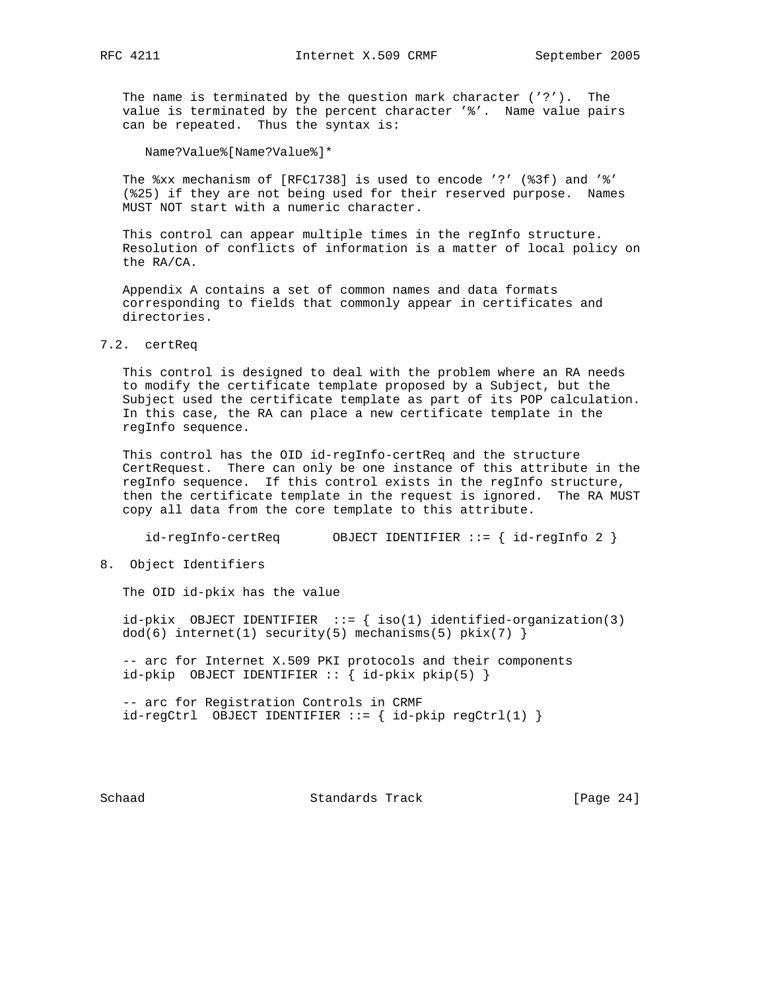The name is terminated by the question mark character ('?'). The value is terminated by the percent character '%'. Name value pairs can be repeated. Thus the syntax is:

Name?Value%[Name?Value%]\*

 The %xx mechanism of [RFC1738] is used to encode '?' (%3f) and '%' (%25) if they are not being used for their reserved purpose. Names MUST NOT start with a numeric character.

 This control can appear multiple times in the regInfo structure. Resolution of conflicts of information is a matter of local policy on the RA/CA.

 Appendix A contains a set of common names and data formats corresponding to fields that commonly appear in certificates and directories.

#### 7.2. certReq

 This control is designed to deal with the problem where an RA needs to modify the certificate template proposed by a Subject, but the Subject used the certificate template as part of its POP calculation. In this case, the RA can place a new certificate template in the regInfo sequence.

 This control has the OID id-regInfo-certReq and the structure CertRequest. There can only be one instance of this attribute in the regInfo sequence. If this control exists in the regInfo structure, then the certificate template in the request is ignored. The RA MUST copy all data from the core template to this attribute.

id-regInfo-certReq OBJECT IDENTIFIER ::= { id-regInfo 2 }

8. Object Identifiers

The OID id-pkix has the value

id-pkix OBJECT IDENTIFIER  $::=$  { iso(1) identified-organization(3)  $dod(6)$  internet(1) security(5) mechanisms(5) pkix(7) }

 -- arc for Internet X.509 PKI protocols and their components id-pkip OBJECT IDENTIFIER :: { id-pkix pkip(5) }

 -- arc for Registration Controls in CRMF  $id-regCtrl$  OBJECT IDENTIFIER ::= {  $id-pkip$  regCtrl(1) }

Schaad **Standards Track** [Page 24]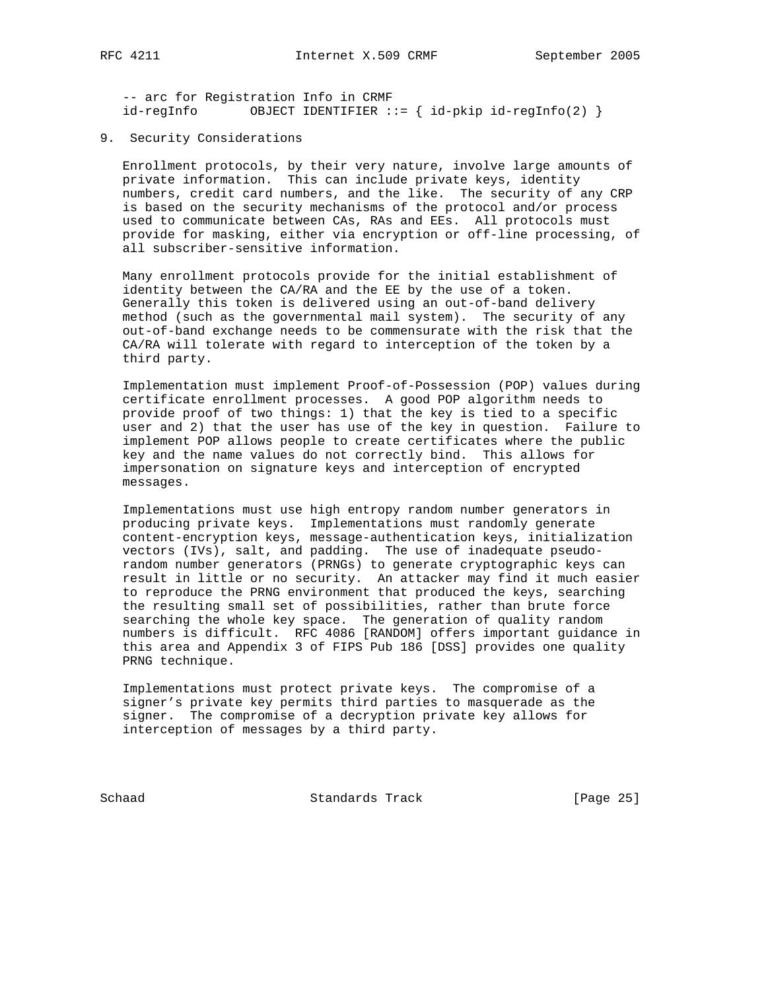-- arc for Registration Info in CRMF id-regInfo OBJECT IDENTIFIER ::= { id-pkip id-regInfo(2) }

#### 9. Security Considerations

 Enrollment protocols, by their very nature, involve large amounts of private information. This can include private keys, identity numbers, credit card numbers, and the like. The security of any CRP is based on the security mechanisms of the protocol and/or process used to communicate between CAs, RAs and EEs. All protocols must provide for masking, either via encryption or off-line processing, of all subscriber-sensitive information.

 Many enrollment protocols provide for the initial establishment of identity between the CA/RA and the EE by the use of a token. Generally this token is delivered using an out-of-band delivery method (such as the governmental mail system). The security of any out-of-band exchange needs to be commensurate with the risk that the CA/RA will tolerate with regard to interception of the token by a third party.

 Implementation must implement Proof-of-Possession (POP) values during certificate enrollment processes. A good POP algorithm needs to provide proof of two things: 1) that the key is tied to a specific user and 2) that the user has use of the key in question. Failure to implement POP allows people to create certificates where the public key and the name values do not correctly bind. This allows for impersonation on signature keys and interception of encrypted messages.

 Implementations must use high entropy random number generators in producing private keys. Implementations must randomly generate content-encryption keys, message-authentication keys, initialization vectors (IVs), salt, and padding. The use of inadequate pseudo random number generators (PRNGs) to generate cryptographic keys can result in little or no security. An attacker may find it much easier to reproduce the PRNG environment that produced the keys, searching the resulting small set of possibilities, rather than brute force searching the whole key space. The generation of quality random numbers is difficult. RFC 4086 [RANDOM] offers important guidance in this area and Appendix 3 of FIPS Pub 186 [DSS] provides one quality PRNG technique.

 Implementations must protect private keys. The compromise of a signer's private key permits third parties to masquerade as the signer. The compromise of a decryption private key allows for interception of messages by a third party.

Schaad Standards Track [Page 25]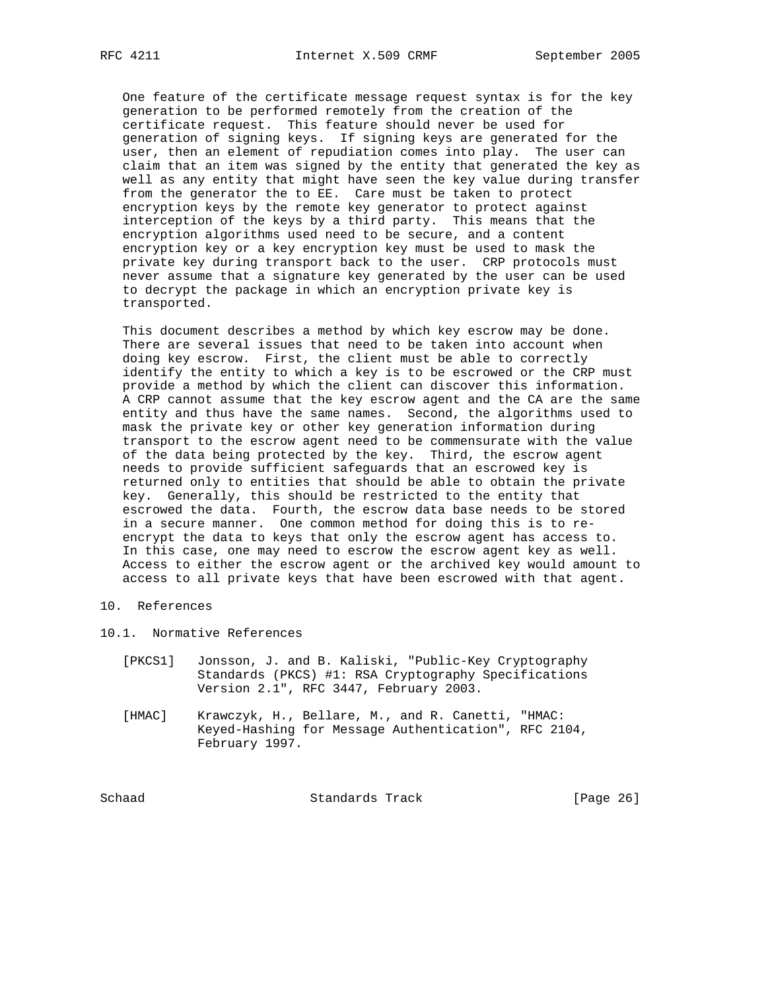One feature of the certificate message request syntax is for the key generation to be performed remotely from the creation of the certificate request. This feature should never be used for generation of signing keys. If signing keys are generated for the user, then an element of repudiation comes into play. The user can claim that an item was signed by the entity that generated the key as well as any entity that might have seen the key value during transfer from the generator the to EE. Care must be taken to protect encryption keys by the remote key generator to protect against interception of the keys by a third party. This means that the encryption algorithms used need to be secure, and a content encryption key or a key encryption key must be used to mask the private key during transport back to the user. CRP protocols must never assume that a signature key generated by the user can be used to decrypt the package in which an encryption private key is transported.

 This document describes a method by which key escrow may be done. There are several issues that need to be taken into account when doing key escrow. First, the client must be able to correctly identify the entity to which a key is to be escrowed or the CRP must provide a method by which the client can discover this information. A CRP cannot assume that the key escrow agent and the CA are the same entity and thus have the same names. Second, the algorithms used to mask the private key or other key generation information during transport to the escrow agent need to be commensurate with the value of the data being protected by the key. Third, the escrow agent needs to provide sufficient safeguards that an escrowed key is returned only to entities that should be able to obtain the private key. Generally, this should be restricted to the entity that escrowed the data. Fourth, the escrow data base needs to be stored in a secure manner. One common method for doing this is to re encrypt the data to keys that only the escrow agent has access to. In this case, one may need to escrow the escrow agent key as well. Access to either the escrow agent or the archived key would amount to access to all private keys that have been escrowed with that agent.

### 10. References

10.1. Normative References

- [PKCS1] Jonsson, J. and B. Kaliski, "Public-Key Cryptography Standards (PKCS) #1: RSA Cryptography Specifications Version 2.1", RFC 3447, February 2003.
- [HMAC] Krawczyk, H., Bellare, M., and R. Canetti, "HMAC: Keyed-Hashing for Message Authentication", RFC 2104, February 1997.

Schaad Standards Track [Page 26]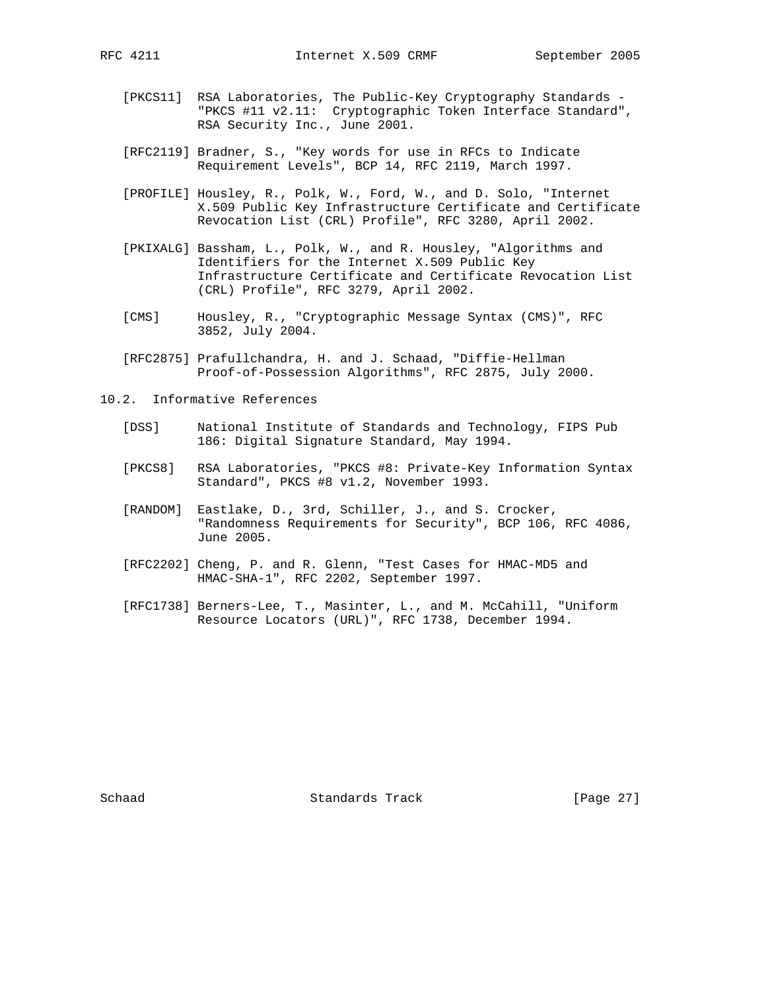- [PKCS11] RSA Laboratories, The Public-Key Cryptography Standards "PKCS #11 v2.11: Cryptographic Token Interface Standard", RSA Security Inc., June 2001.
- [RFC2119] Bradner, S., "Key words for use in RFCs to Indicate Requirement Levels", BCP 14, RFC 2119, March 1997.
- [PROFILE] Housley, R., Polk, W., Ford, W., and D. Solo, "Internet X.509 Public Key Infrastructure Certificate and Certificate Revocation List (CRL) Profile", RFC 3280, April 2002.
- [PKIXALG] Bassham, L., Polk, W., and R. Housley, "Algorithms and Identifiers for the Internet X.509 Public Key Infrastructure Certificate and Certificate Revocation List (CRL) Profile", RFC 3279, April 2002.
- [CMS] Housley, R., "Cryptographic Message Syntax (CMS)", RFC 3852, July 2004.
- [RFC2875] Prafullchandra, H. and J. Schaad, "Diffie-Hellman Proof-of-Possession Algorithms", RFC 2875, July 2000.
- 10.2. Informative References
	- [DSS] National Institute of Standards and Technology, FIPS Pub 186: Digital Signature Standard, May 1994.
	- [PKCS8] RSA Laboratories, "PKCS #8: Private-Key Information Syntax Standard", PKCS #8 v1.2, November 1993.
	- [RANDOM] Eastlake, D., 3rd, Schiller, J., and S. Crocker, "Randomness Requirements for Security", BCP 106, RFC 4086, June 2005.
	- [RFC2202] Cheng, P. and R. Glenn, "Test Cases for HMAC-MD5 and HMAC-SHA-1", RFC 2202, September 1997.
	- [RFC1738] Berners-Lee, T., Masinter, L., and M. McCahill, "Uniform Resource Locators (URL)", RFC 1738, December 1994.

Schaad **Standards Track** [Page 27]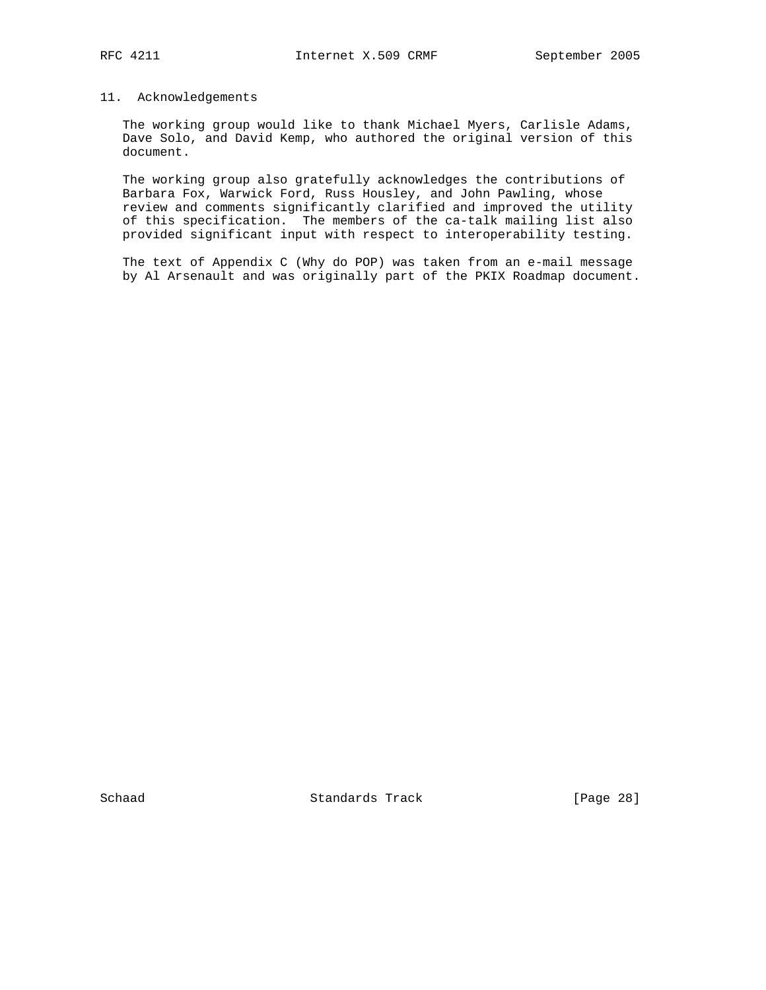## 11. Acknowledgements

 The working group would like to thank Michael Myers, Carlisle Adams, Dave Solo, and David Kemp, who authored the original version of this document.

 The working group also gratefully acknowledges the contributions of Barbara Fox, Warwick Ford, Russ Housley, and John Pawling, whose review and comments significantly clarified and improved the utility of this specification. The members of the ca-talk mailing list also provided significant input with respect to interoperability testing.

 The text of Appendix C (Why do POP) was taken from an e-mail message by Al Arsenault and was originally part of the PKIX Roadmap document.

Schaad Standards Track [Page 28]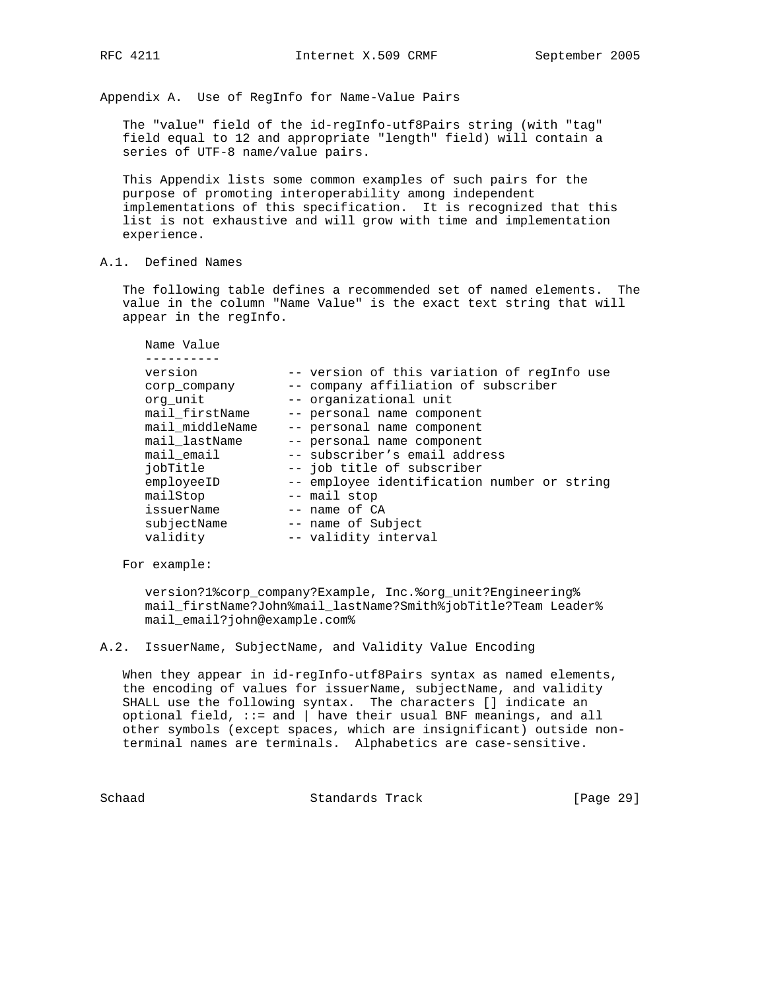Appendix A. Use of RegInfo for Name-Value Pairs

 The "value" field of the id-regInfo-utf8Pairs string (with "tag" field equal to 12 and appropriate "length" field) will contain a series of UTF-8 name/value pairs.

 This Appendix lists some common examples of such pairs for the purpose of promoting interoperability among independent implementations of this specification. It is recognized that this list is not exhaustive and will grow with time and implementation experience.

A.1. Defined Names

 The following table defines a recommended set of named elements. The value in the column "Name Value" is the exact text string that will appear in the regInfo.

| version         | -- version of this variation of regInfo use |
|-----------------|---------------------------------------------|
| corp company    | -- company affiliation of subscriber        |
| org unit        | -- organizational unit                      |
| mail_firstName  | -- personal name component                  |
| mail middleName | -- personal name component                  |
| mail_lastName   | -- personal name component                  |
| mail email      | -- subscriber's email address               |
| iobTitle        | -- job title of subscriber                  |
| employeeID      | -- employee identification number or string |
| mailStop        | -- mail stop                                |
| issuerName      | $--$ name of $CA$                           |
| subjectName     | -- name of Subject                          |
| validity        | -- validity interval                        |

For example:

 version?1%corp\_company?Example, Inc.%org\_unit?Engineering% mail\_firstName?John%mail\_lastName?Smith%jobTitle?Team Leader% mail\_email?john@example.com%

A.2. IssuerName, SubjectName, and Validity Value Encoding

 When they appear in id-regInfo-utf8Pairs syntax as named elements, the encoding of values for issuerName, subjectName, and validity SHALL use the following syntax. The characters [] indicate an optional field, ::= and | have their usual BNF meanings, and all other symbols (except spaces, which are insignificant) outside non terminal names are terminals. Alphabetics are case-sensitive.

Schaad Standards Track [Page 29]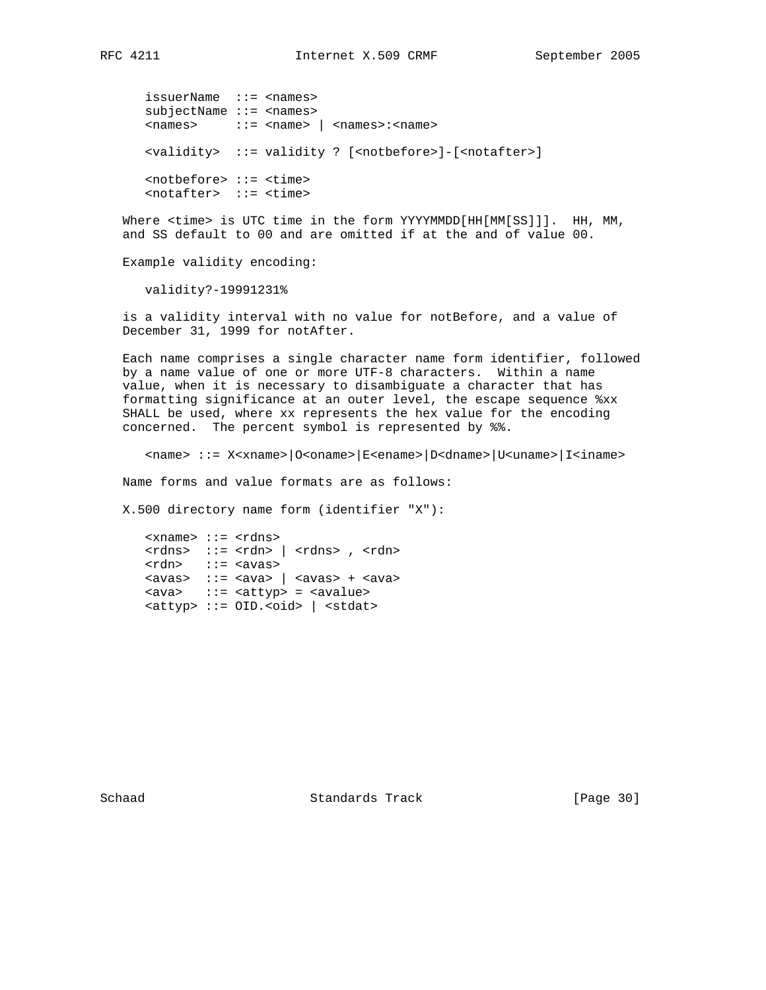issuerName ::= <names> subjectName ::= <names> <names> ::= <name> | <names>:<name> <validity> ::= validity ? [<notbefore>]-[<notafter>] <notbefore> ::= <time> <notafter> ::= <time>

 Where <time> is UTC time in the form YYYYMMDD[HH[MM[SS]]]. HH, MM, and SS default to 00 and are omitted if at the and of value 00.

Example validity encoding:

validity?-19991231%

 is a validity interval with no value for notBefore, and a value of December 31, 1999 for notAfter.

 Each name comprises a single character name form identifier, followed by a name value of one or more UTF-8 characters. Within a name value, when it is necessary to disambiguate a character that has formatting significance at an outer level, the escape sequence %xx SHALL be used, where xx represents the hex value for the encoding concerned. The percent symbol is represented by %%.

<name> ::= X<xname>|O<oname>|E<ename>|D<dname>|U<uname>|I<iname>

Name forms and value formats are as follows:

X.500 directory name form (identifier "X"):

 <xname> ::= <rdns>  $<$ rdns>  $::=$   $<$ rdn>  $|$   $<$ rdns>  $,$   $<$ rdn> <rdn> ::= <avas>  $\langle$ avas> ::=  $\langle$ ava $\rangle$  |  $\langle$ avas> +  $\langle$ ava> <ava> ::= <attyp> = <avalue> <attyp> ::= OID.<oid> | <stdat>

Schaad Standards Track [Page 30]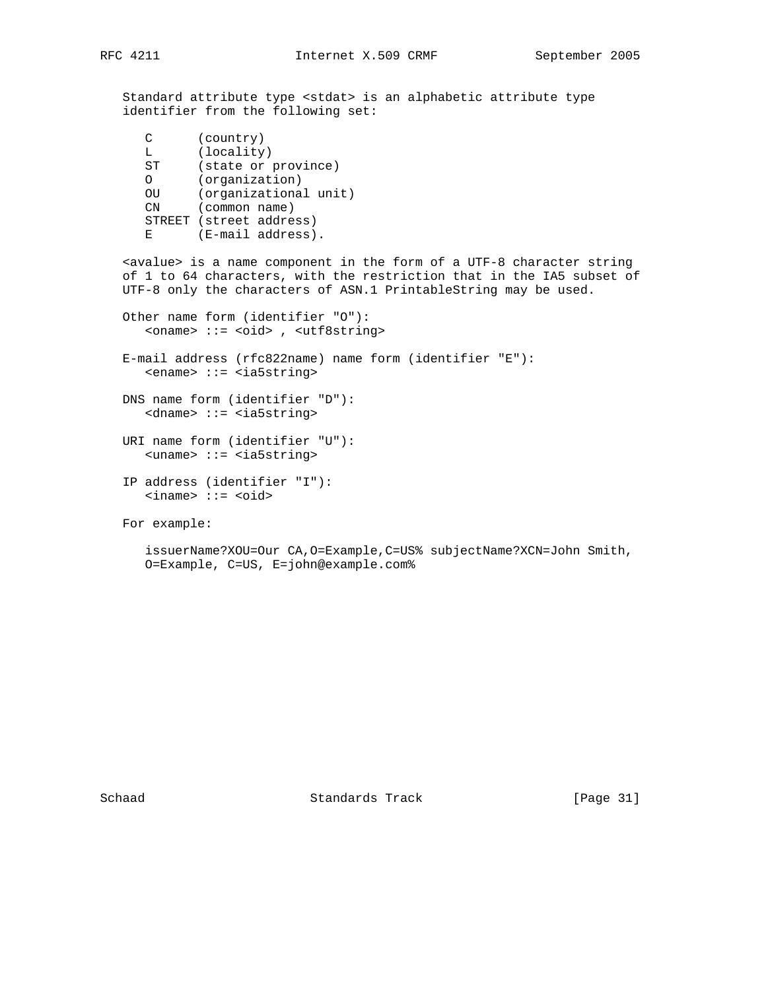Standard attribute type <stdat> is an alphabetic attribute type identifier from the following set:

```
 C (country)
L (locality)
    ST (state or province)
    O (organization)
OU (organizational unit)
CN (common name)
    STREET (street address)
   E (E-mail address).
```
 <avalue> is a name component in the form of a UTF-8 character string of 1 to 64 characters, with the restriction that in the IA5 subset of UTF-8 only the characters of ASN.1 PrintableString may be used.

 Other name form (identifier "O"): <oname> ::= <oid> , <utf8string> E-mail address (rfc822name) name form (identifier "E"): <ename> ::= <ia5string> DNS name form (identifier "D"): <dname> ::= <ia5string> URI name form (identifier "U"): <uname> ::= <ia5string> IP address (identifier "I"):

```
 <iname> ::= <oid>
```

```
 For example:
```

```
 issuerName?XOU=Our CA,O=Example,C=US% subjectName?XCN=John Smith,
O=Example, C=US, E=john@example.com%
```
Schaad Standards Track [Page 31]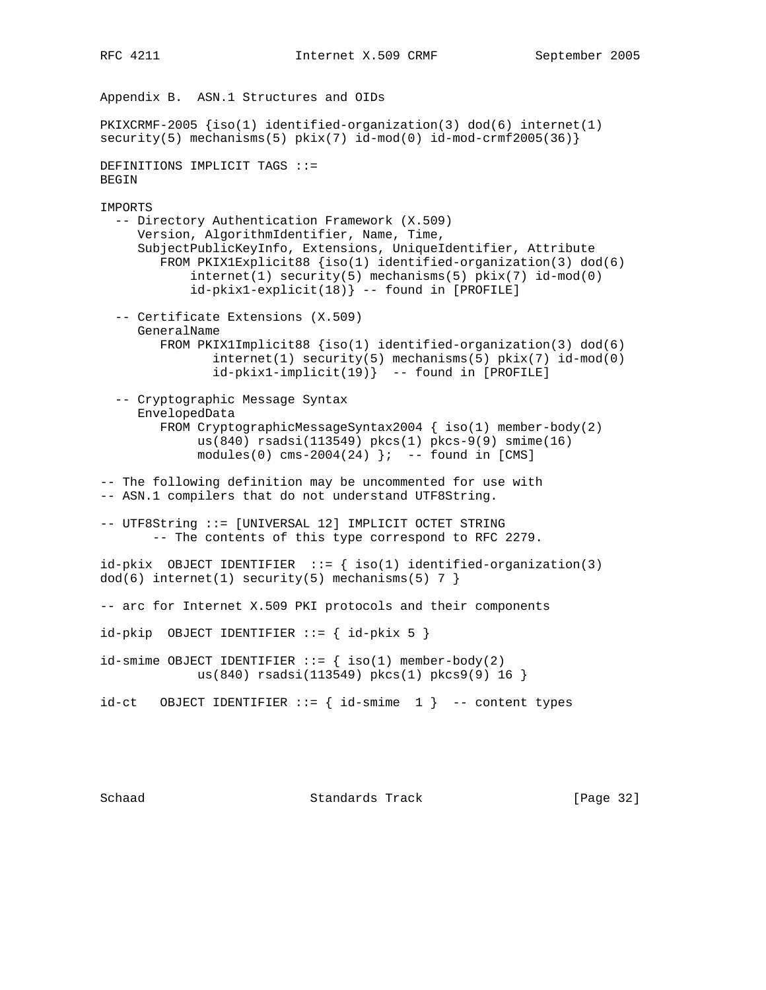Appendix B. ASN.1 Structures and OIDs PKIXCRMF-2005 {iso(1) identified-organization(3) dod(6) internet(1)  $security(5)$  mechanisms(5)  $pkix(7)$  id-mod(0) id-mod-crmf2005(36)} DEFINITIONS IMPLICIT TAGS ::= BEGIN IMPORTS -- Directory Authentication Framework (X.509) Version, AlgorithmIdentifier, Name, Time, SubjectPublicKeyInfo, Extensions, UniqueIdentifier, Attribute FROM PKIX1Explicit88 {iso(1) identified-organization(3) dod(6)  $internet(1) security(5) mechanisms(5) pix(x7) id-mod(0)$  id-pkix1-explicit(18)} -- found in [PROFILE] -- Certificate Extensions (X.509) GeneralName FROM PKIX1Implicit88 {iso(1) identified-organization(3) dod(6) internet(1) security(5) mechanisms(5) pkix(7) id-mod(0) id-pkix1-implicit(19)} -- found in [PROFILE] -- Cryptographic Message Syntax EnvelopedData FROM CryptographicMessageSyntax2004 { iso(1) member-body(2) us(840) rsadsi(113549) pkcs(1) pkcs-9(9) smime(16)  $modules(0) cms-2004(24)$   $\}$ ; -- found in [CMS] -- The following definition may be uncommented for use with -- ASN.1 compilers that do not understand UTF8String. -- UTF8String ::= [UNIVERSAL 12] IMPLICIT OCTET STRING -- The contents of this type correspond to RFC 2279. id-pkix OBJECT IDENTIFIER  $::=$  { iso(1) identified-organization(3)  $dod(6)$  internet(1) security(5) mechanisms(5) 7 } -- arc for Internet X.509 PKI protocols and their components  $id$ -pkip OBJECT IDENTIFIER ::= {  $id$ -pkix 5 }  $id$ -smime OBJECT IDENTIFIER ::= { iso(1) member-body(2) us(840) rsadsi(113549) pkcs(1) pkcs9(9) 16 }  $id-ct$  OBJECT IDENTIFIER ::=  $\{ id - smime 1 \}$  -- content types

Schaad Standards Track [Page 32]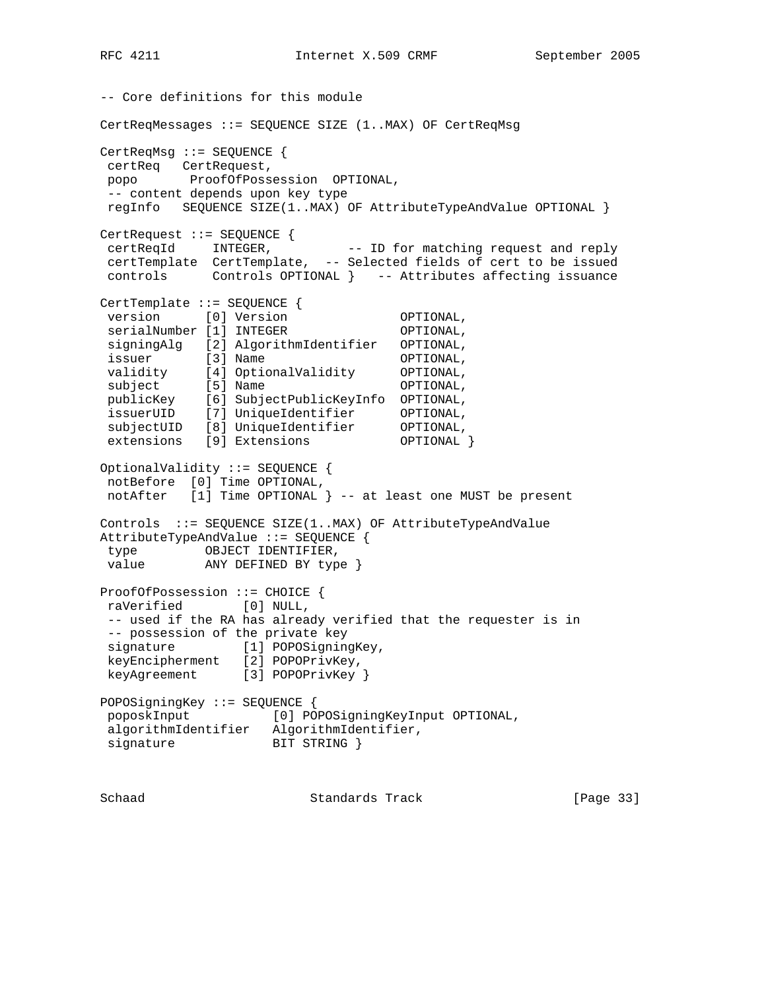-- Core definitions for this module CertReqMessages ::= SEQUENCE SIZE (1..MAX) OF CertReqMsg CertReqMsg ::= SEQUENCE { certReq CertRequest, popo ProofOfPossession OPTIONAL, -- content depends upon key type regInfo SEQUENCE SIZE(1..MAX) OF AttributeTypeAndValue OPTIONAL } CertRequest ::= SEQUENCE { certReqId INTEGER, -- ID for matching request and reply certTemplate CertTemplate, -- Selected fields of cert to be issued controls Controls OPTIONAL } -- Attributes affecting issuance CertTemplate ::= SEQUENCE { version [0] Version **OPTIONAL**, serialNumber [1] INTEGER OPTIONAL, signingAlg [2] AlgorithmIdentifier OPTIONAL, issuer [3] Name **OPTIONAL**, validity [4] OptionalValidity OPTIONAL, subject [5] Name **OPTIONAL**, publicKey [6] SubjectPublicKeyInfo OPTIONAL, issuerUID [7] UniqueIdentifier OPTIONAL, subjectUID [8] UniqueIdentifier OPTIONAL, extensions [9] Extensions OPTIONAL } OptionalValidity ::= SEQUENCE { notBefore [0] Time OPTIONAL, notAfter [1] Time OPTIONAL } -- at least one MUST be present Controls ::= SEQUENCE SIZE(1..MAX) OF AttributeTypeAndValue AttributeTypeAndValue ::= SEQUENCE { type OBJECT IDENTIFIER, value ANY DEFINED BY type } ProofOfPossession ::= CHOICE { raVerified [0] NULL, -- used if the RA has already verified that the requester is in -- possession of the private key signature [1] POPOSigningKey, keyEncipherment [2] POPOPrivKey, keyAgreement [3] POPOPrivKey } POPOSigningKey ::= SEQUENCE { poposkInput [0] POPOSigningKeyInput OPTIONAL, algorithmIdentifier AlgorithmIdentifier, signature BIT STRING }

Schaad Standards Track [Page 33]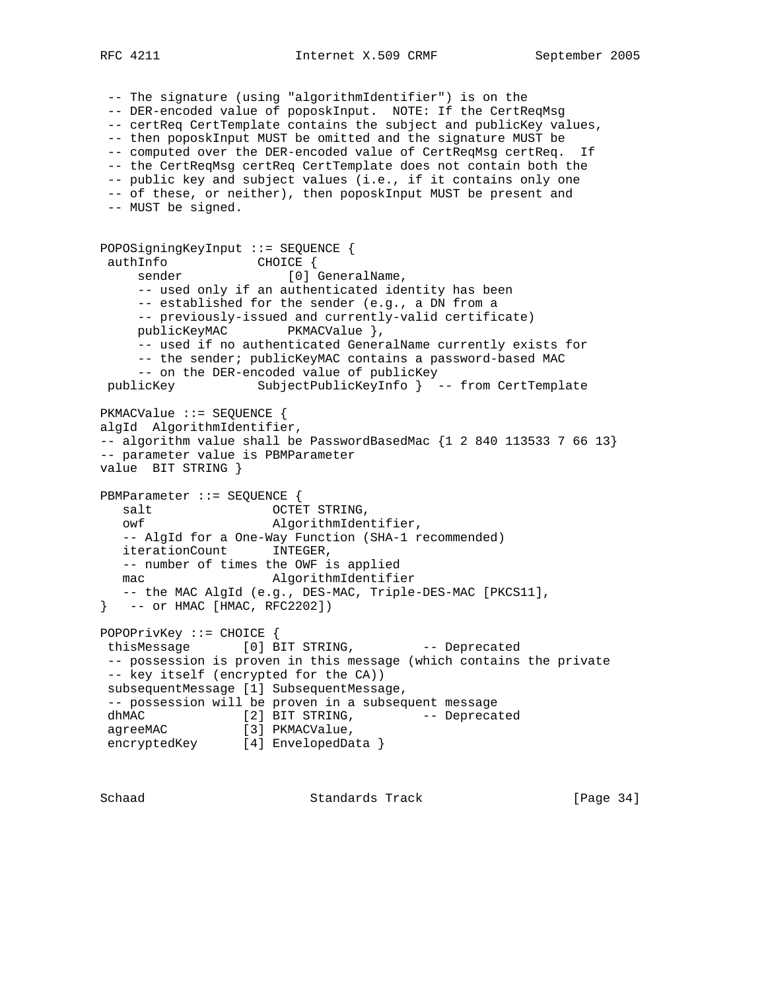RFC 4211 **Internet X.509 CRMF** September 2005

 -- The signature (using "algorithmIdentifier") is on the -- DER-encoded value of poposkInput. NOTE: If the CertReqMsg -- certReq CertTemplate contains the subject and publicKey values, -- then poposkInput MUST be omitted and the signature MUST be -- computed over the DER-encoded value of CertReqMsg certReq. If -- the CertReqMsg certReq CertTemplate does not contain both the -- public key and subject values (i.e., if it contains only one -- of these, or neither), then poposkInput MUST be present and -- MUST be signed. POPOSigningKeyInput ::= SEQUENCE { authInfo CHOICE { sender [0] GeneralName, -- used only if an authenticated identity has been -- established for the sender (e.g., a DN from a -- previously-issued and currently-valid certificate) publicKeyMAC PKMACValue }, -- used if no authenticated GeneralName currently exists for -- the sender; publicKeyMAC contains a password-based MAC -- on the DER-encoded value of publicKey publicKey SubjectPublicKeyInfo } -- from CertTemplate PKMACValue ::= SEQUENCE { algId AlgorithmIdentifier,  $--$  algorithm value shall be PasswordBasedMac  $\{1, 2, 840, 113533, 7, 66, 13\}$ -- parameter value is PBMParameter value BIT STRING } PBMParameter ::= SEQUENCE { salt OCTET STRING, owf AlgorithmIdentifier, -- AlgId for a One-Way Function (SHA-1 recommended) iterationCount INTEGER, -- number of times the OWF is applied mac AlgorithmIdentifier -- the MAC AlgId (e.g., DES-MAC, Triple-DES-MAC [PKCS11], } -- or HMAC [HMAC, RFC2202]) POPOPrivKey ::= CHOICE { thisMessage [0] BIT STRING, -- Deprecated -- possession is proven in this message (which contains the private -- key itself (encrypted for the CA)) subsequentMessage [1] SubsequentMessage, -- possession will be proven in a subsequent message dhMAC [2] BIT STRING, -- Deprecated agreeMAC [3] PKMACValue, encryptedKey [4] EnvelopedData }

Schaad Standards Track [Page 34]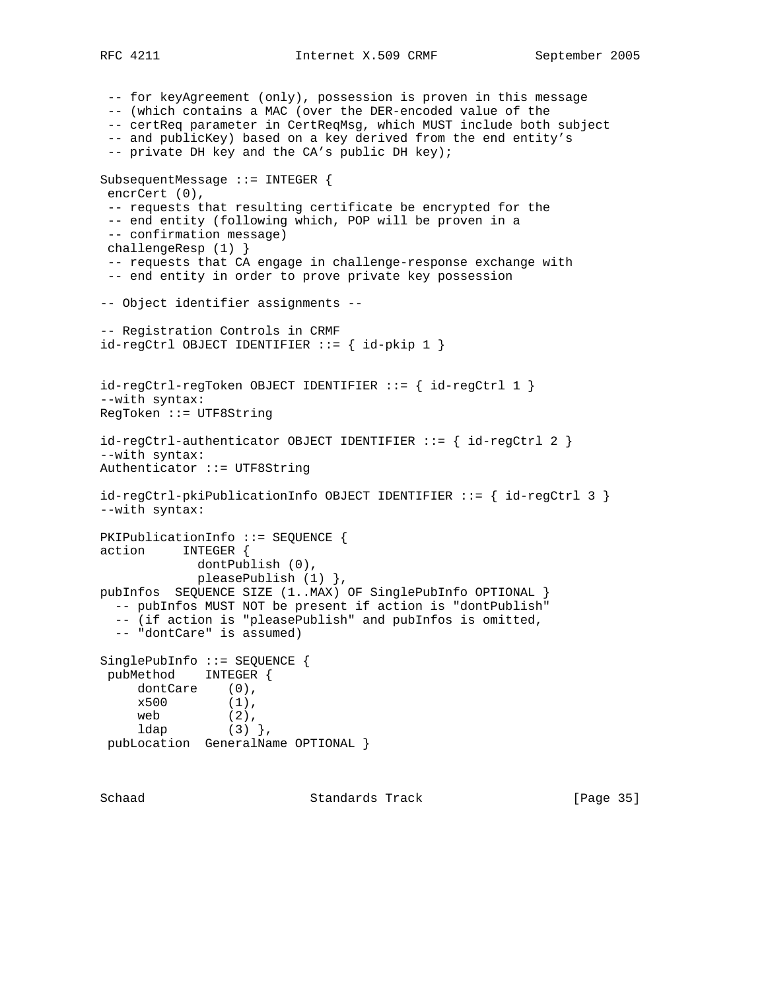RFC 4211 **Internet X.509 CRMF** September 2005

 -- for keyAgreement (only), possession is proven in this message -- (which contains a MAC (over the DER-encoded value of the -- certReq parameter in CertReqMsg, which MUST include both subject -- and publicKey) based on a key derived from the end entity's -- private DH key and the CA's public DH key); SubsequentMessage ::= INTEGER { encrCert (0), -- requests that resulting certificate be encrypted for the -- end entity (following which, POP will be proven in a -- confirmation message) challengeResp (1) } -- requests that CA engage in challenge-response exchange with -- end entity in order to prove private key possession -- Object identifier assignments -- -- Registration Controls in CRMF  $id-regCtrl$  OBJECT IDENTIFIER  $::=$  {  $id$ -pkip 1 } id-regCtrl-regToken OBJECT IDENTIFIER ::= { id-regCtrl 1 } --with syntax: RegToken ::= UTF8String id-regCtrl-authenticator OBJECT IDENTIFIER ::= { id-regCtrl 2 } --with syntax: Authenticator ::= UTF8String id-regCtrl-pkiPublicationInfo OBJECT IDENTIFIER ::= { id-regCtrl 3 } --with syntax: PKIPublicationInfo ::= SEQUENCE { action INTEGER { dontPublish (0), pleasePublish (1) }, pubInfos SEQUENCE SIZE (1..MAX) OF SinglePubInfo OPTIONAL } -- pubInfos MUST NOT be present if action is "dontPublish" -- (if action is "pleasePublish" and pubInfos is omitted, -- "dontCare" is assumed) SinglePubInfo ::= SEQUENCE { pubMethod INTEGER { dontCare (0), x500 (1), web  $(2)$ , ldap  $(3)$  }, pubLocation GeneralName OPTIONAL }

Schaad **Standards Track** [Page 35]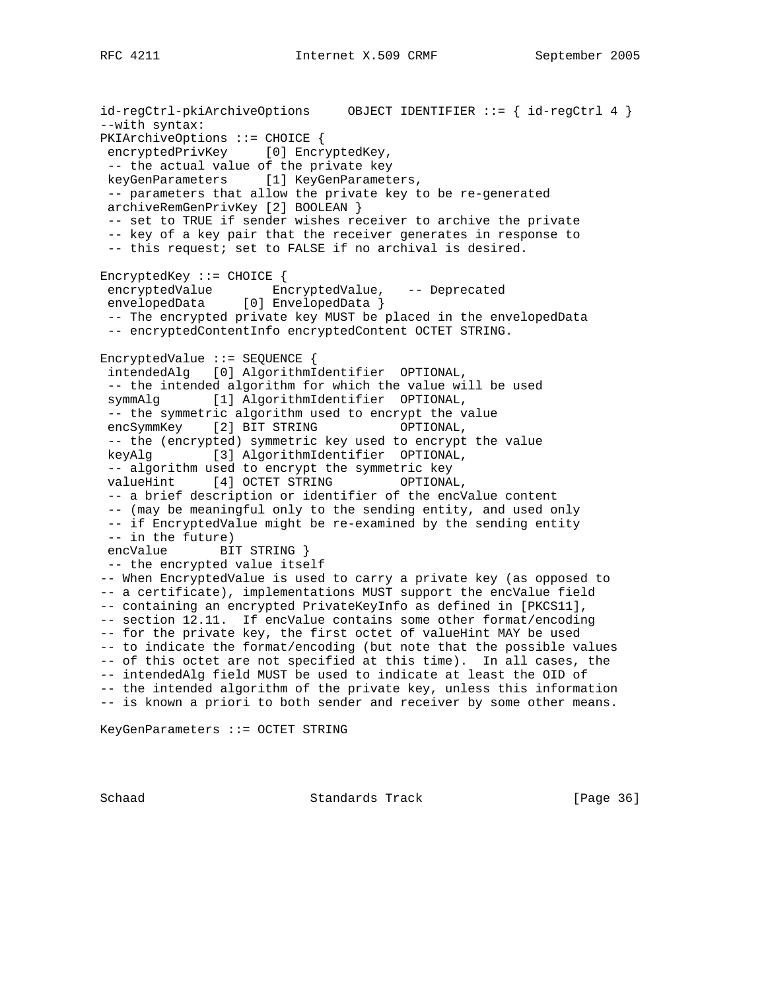id-regCtrl-pkiArchiveOptions OBJECT IDENTIFIER ::= { id-regCtrl 4 } --with syntax: PKIArchiveOptions ::= CHOICE { encryptedPrivKey [0] EncryptedKey, -- the actual value of the private key keyGenParameters [1] KeyGenParameters, -- parameters that allow the private key to be re-generated archiveRemGenPrivKey [2] BOOLEAN } -- set to TRUE if sender wishes receiver to archive the private -- key of a key pair that the receiver generates in response to -- this request; set to FALSE if no archival is desired. EncryptedKey ::= CHOICE { encryptedValue EncryptedValue, -- Deprecated envelopedData [0] EnvelopedData } -- The encrypted private key MUST be placed in the envelopedData -- encryptedContentInfo encryptedContent OCTET STRING. EncryptedValue ::= SEQUENCE { intendedAlg [0] AlgorithmIdentifier OPTIONAL, -- the intended algorithm for which the value will be used symmAlg [1] AlgorithmIdentifier OPTIONAL, -- the symmetric algorithm used to encrypt the value encSymmKey [2] BIT STRING OPTIONAL, -- the (encrypted) symmetric key used to encrypt the value keyAlg [3] AlgorithmIdentifier OPTIONAL, -- algorithm used to encrypt the symmetric key valueHint [4] OCTET STRING OPTIONAL, -- a brief description or identifier of the encValue content -- (may be meaningful only to the sending entity, and used only -- if EncryptedValue might be re-examined by the sending entity -- in the future) encValue BIT STRING } -- the encrypted value itself -- When EncryptedValue is used to carry a private key (as opposed to -- a certificate), implementations MUST support the encValue field -- containing an encrypted PrivateKeyInfo as defined in [PKCS11], -- section 12.11. If encValue contains some other format/encoding -- for the private key, the first octet of valueHint MAY be used -- to indicate the format/encoding (but note that the possible values -- of this octet are not specified at this time). In all cases, the -- intendedAlg field MUST be used to indicate at least the OID of -- the intended algorithm of the private key, unless this information -- is known a priori to both sender and receiver by some other means.

KeyGenParameters ::= OCTET STRING

Schaad Standards Track [Page 36]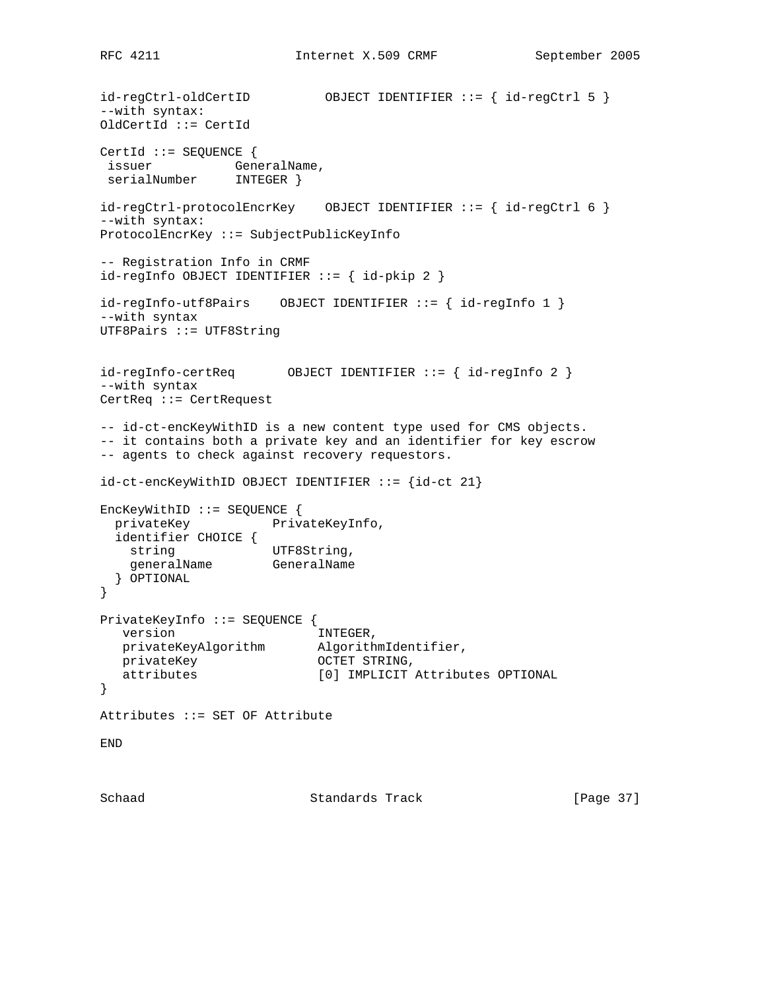id-regCtrl-oldCertID OBJECT IDENTIFIER ::= { id-regCtrl 5 } --with syntax: OldCertId ::= CertId CertId ::= SEQUENCE { issuer GeneralName, serialNumber INTEGER } id-regCtrl-protocolEncrKey OBJECT IDENTIFIER ::= { id-regCtrl 6 } --with syntax: ProtocolEncrKey ::= SubjectPublicKeyInfo -- Registration Info in CRMF  $id-regInfo OBJECT IDENTIFYER :: = { id-pkip 2 }$ id-regInfo-utf8Pairs OBJECT IDENTIFIER ::= { id-regInfo 1 } --with syntax UTF8Pairs ::= UTF8String id-regInfo-certReq OBJECT IDENTIFIER ::= { id-regInfo 2 } --with syntax CertReq ::= CertRequest -- id-ct-encKeyWithID is a new content type used for CMS objects. -- it contains both a private key and an identifier for key escrow -- agents to check against recovery requestors. id-ct-encKeyWithID OBJECT IDENTIFIER ::= {id-ct 21} EncKeyWithID ::= SEQUENCE { privateKey PrivateKeyInfo, identifier CHOICE { string UTF8String, generalName GeneralName } OPTIONAL } PrivateKeyInfo ::= SEQUENCE { version **INTEGER**, privateKeyAlgorithm AlgorithmIdentifier, privateKey **OCTET STRING**, attributes [0] IMPLICIT Attributes OPTIONAL } Attributes ::= SET OF Attribute END

Schaad **Standards Track** [Page 37]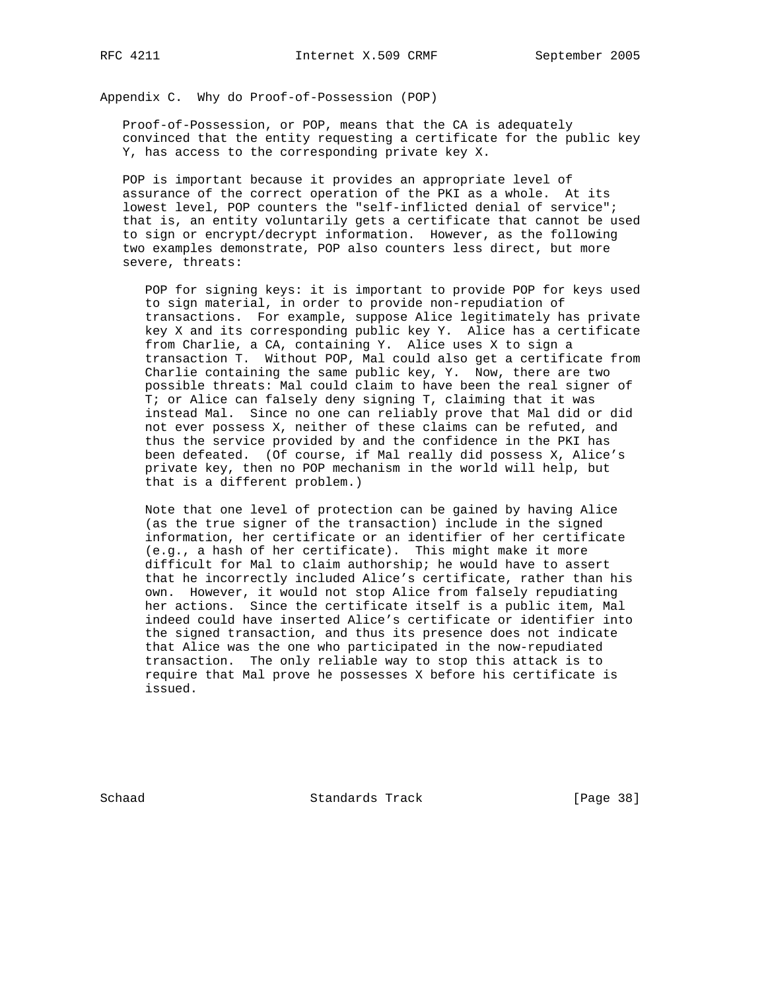Appendix C. Why do Proof-of-Possession (POP)

 Proof-of-Possession, or POP, means that the CA is adequately convinced that the entity requesting a certificate for the public key Y, has access to the corresponding private key X.

 POP is important because it provides an appropriate level of assurance of the correct operation of the PKI as a whole. At its lowest level, POP counters the "self-inflicted denial of service"; that is, an entity voluntarily gets a certificate that cannot be used to sign or encrypt/decrypt information. However, as the following two examples demonstrate, POP also counters less direct, but more severe, threats:

 POP for signing keys: it is important to provide POP for keys used to sign material, in order to provide non-repudiation of transactions. For example, suppose Alice legitimately has private key X and its corresponding public key Y. Alice has a certificate from Charlie, a CA, containing Y. Alice uses X to sign a transaction T. Without POP, Mal could also get a certificate from Charlie containing the same public key, Y. Now, there are two possible threats: Mal could claim to have been the real signer of T; or Alice can falsely deny signing T, claiming that it was instead Mal. Since no one can reliably prove that Mal did or did not ever possess X, neither of these claims can be refuted, and thus the service provided by and the confidence in the PKI has been defeated. (Of course, if Mal really did possess X, Alice's private key, then no POP mechanism in the world will help, but that is a different problem.)

 Note that one level of protection can be gained by having Alice (as the true signer of the transaction) include in the signed information, her certificate or an identifier of her certificate (e.g., a hash of her certificate). This might make it more difficult for Mal to claim authorship; he would have to assert that he incorrectly included Alice's certificate, rather than his own. However, it would not stop Alice from falsely repudiating her actions. Since the certificate itself is a public item, Mal indeed could have inserted Alice's certificate or identifier into the signed transaction, and thus its presence does not indicate that Alice was the one who participated in the now-repudiated transaction. The only reliable way to stop this attack is to require that Mal prove he possesses X before his certificate is issued.

Schaad Standards Track [Page 38]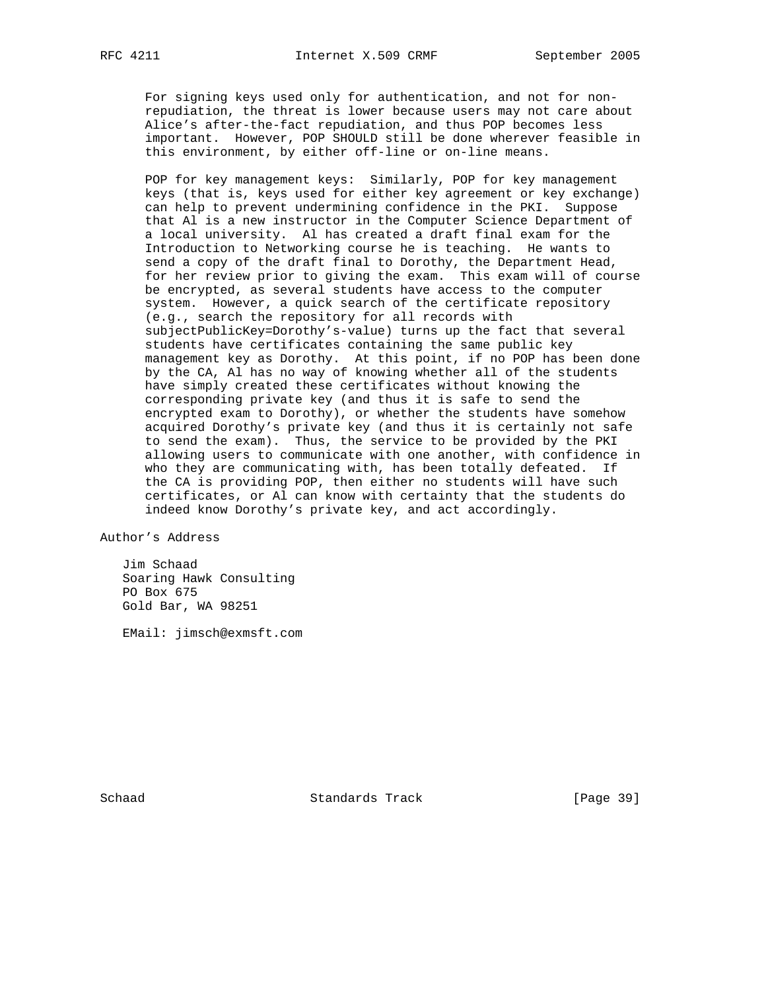For signing keys used only for authentication, and not for non repudiation, the threat is lower because users may not care about Alice's after-the-fact repudiation, and thus POP becomes less important. However, POP SHOULD still be done wherever feasible in this environment, by either off-line or on-line means.

 POP for key management keys: Similarly, POP for key management keys (that is, keys used for either key agreement or key exchange) can help to prevent undermining confidence in the PKI. Suppose that Al is a new instructor in the Computer Science Department of a local university. Al has created a draft final exam for the Introduction to Networking course he is teaching. He wants to send a copy of the draft final to Dorothy, the Department Head, for her review prior to giving the exam. This exam will of course be encrypted, as several students have access to the computer system. However, a quick search of the certificate repository (e.g., search the repository for all records with subjectPublicKey=Dorothy's-value) turns up the fact that several students have certificates containing the same public key management key as Dorothy. At this point, if no POP has been done by the CA, Al has no way of knowing whether all of the students have simply created these certificates without knowing the corresponding private key (and thus it is safe to send the encrypted exam to Dorothy), or whether the students have somehow acquired Dorothy's private key (and thus it is certainly not safe to send the exam). Thus, the service to be provided by the PKI allowing users to communicate with one another, with confidence in who they are communicating with, has been totally defeated. If the CA is providing POP, then either no students will have such certificates, or Al can know with certainty that the students do indeed know Dorothy's private key, and act accordingly.

Author's Address

 Jim Schaad Soaring Hawk Consulting PO Box 675 Gold Bar, WA 98251

EMail: jimsch@exmsft.com

Schaad Standards Track [Page 39]